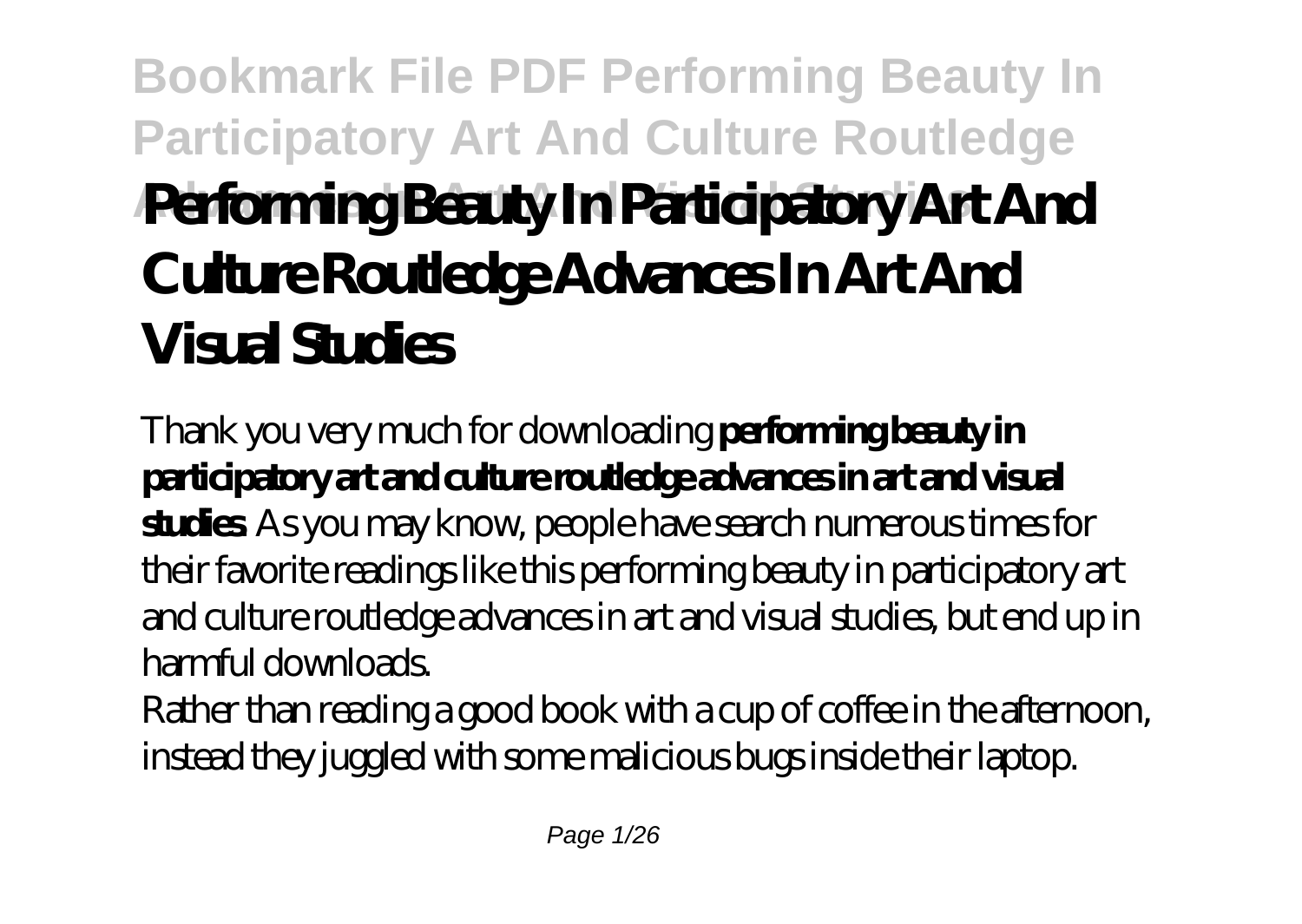# **Bookmark File PDF Performing Beauty In Participatory Art And Culture Routledge Advances In Art And Visual Studies Performing Beauty In Participatory Art And Culture Routledge Advances In Art And Visual Studies**

Thank you very much for downloading **performing beauty in participatory art and culture routledge advances in art and visual studies**. As you may know, people have search numerous times for their favorite readings like this performing beauty in participatory art and culture routledge advances in art and visual studies, but end up in harmful downloads.

Rather than reading a good book with a cup of coffee in the afternoon, instead they juggled with some malicious bugs inside their laptop.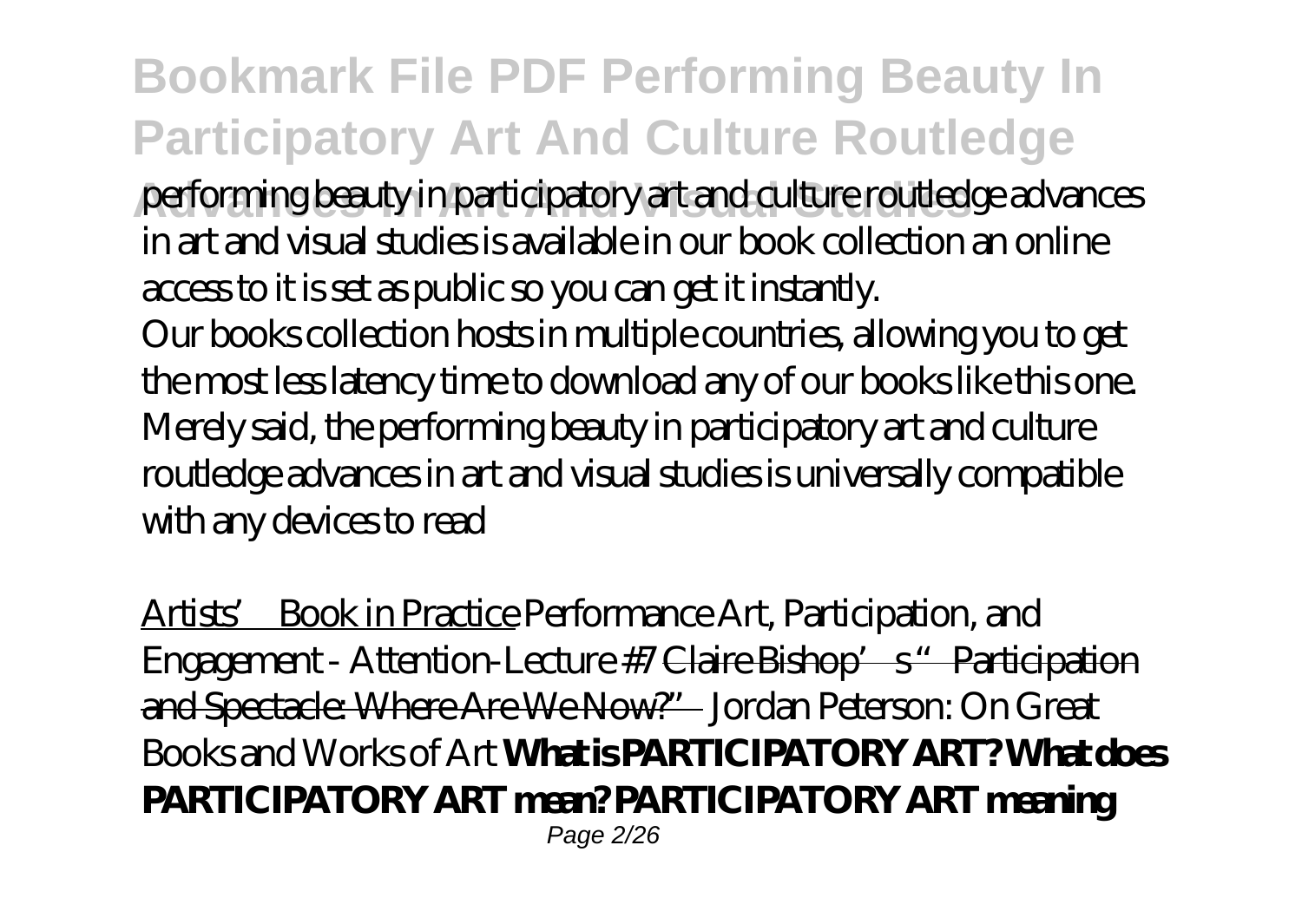### **Bookmark File PDF Performing Beauty In Participatory Art And Culture Routledge**

**Advances In Art And Visual Studies** performing beauty in participatory art and culture routledge advances in art and visual studies is available in our book collection an online access to it is set as public so you can get it instantly.

Our books collection hosts in multiple countries, allowing you to get the most less latency time to download any of our books like this one. Merely said, the performing beauty in participatory art and culture routledge advances in art and visual studies is universally compatible with any devices to read

Artists' Book in Practice *Performance Art, Participation, and Engagement - Attention-Lecture #7* Claire Bishop's "Participation and Spectacle: Where Are We Now?" *Jordan Peterson: On Great Books and Works of Art* **What is PARTICIPATORY ART? What does PARTICIPATORY ART mean? PARTICIPATORY ART meaning** Page 2/26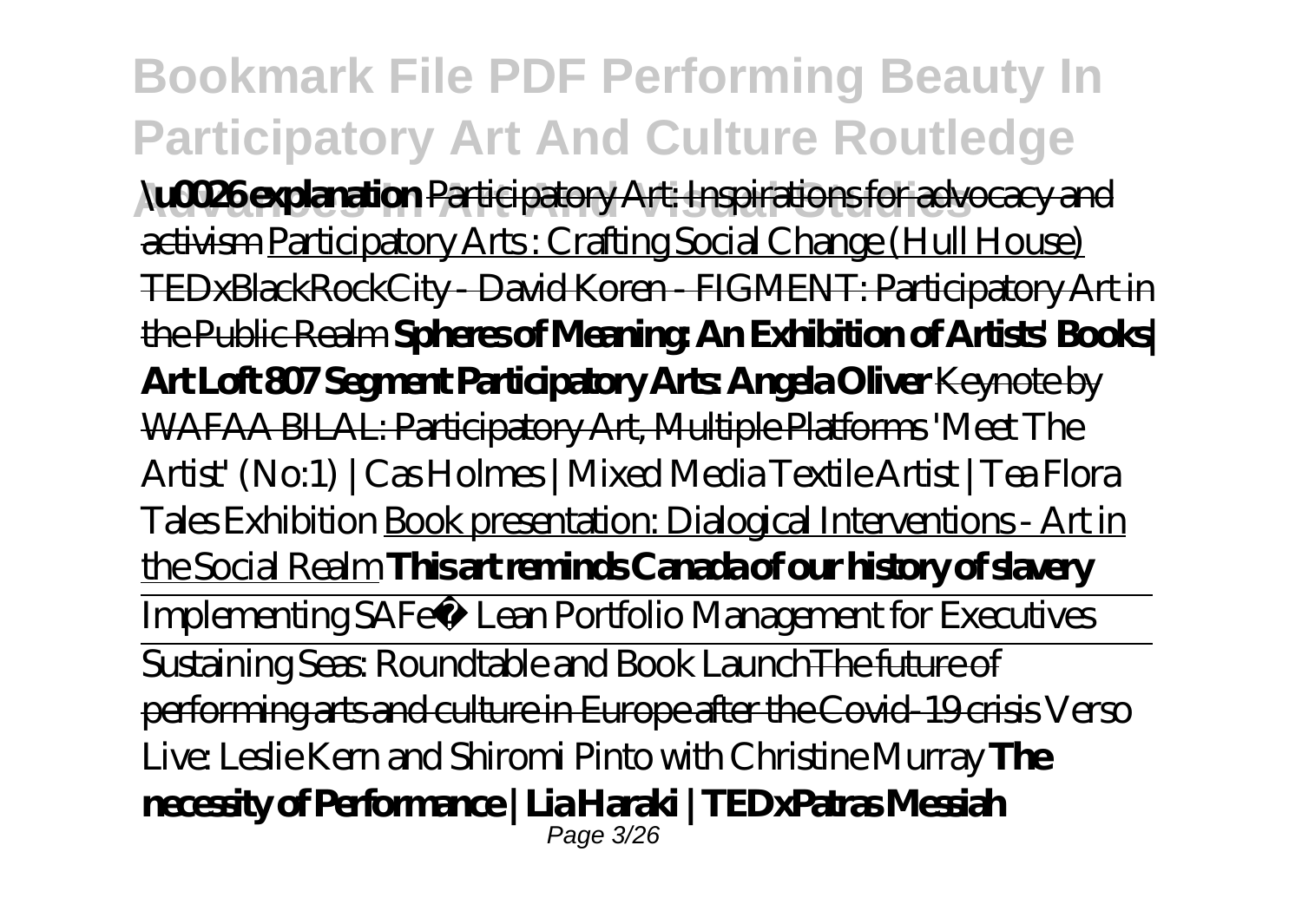**Bookmark File PDF Performing Beauty In Participatory Art And Culture Routledge Advances In Art And Visual Studies \u0026 explanation** Participatory Art: Inspirations for advocacy and activism Participatory Arts : Crafting Social Change (Hull House) TEDxBlackRockCity - David Koren - FIGMENT: Participatory Art in the Public Realm **Spheres of Meaning: An Exhibition of Artists' Books| Art Loft 807 Segment Participatory Arts: Angela Oliver** Keynote by WAFAA BILAL: Participatory Art, Multiple Platforms *'Meet The Artist' (No:1) | Cas Holmes | Mixed Media Textile Artist | Tea Flora Tales Exhibition* Book presentation: Dialogical Interventions - Art in the Social Realm **This art reminds Canada of our history of slavery** Implementing SAFe® Lean Portfolio Management for Executives Sustaining Seas: Roundtable and Book Launch The future of performing arts and culture in Europe after the Covid-19 crisis *Verso Live: Leslie Kern and Shiromi Pinto with Christine Murray* **The necessity of Performance | Lia Haraki | TEDxPatras Messiah** Page 3/26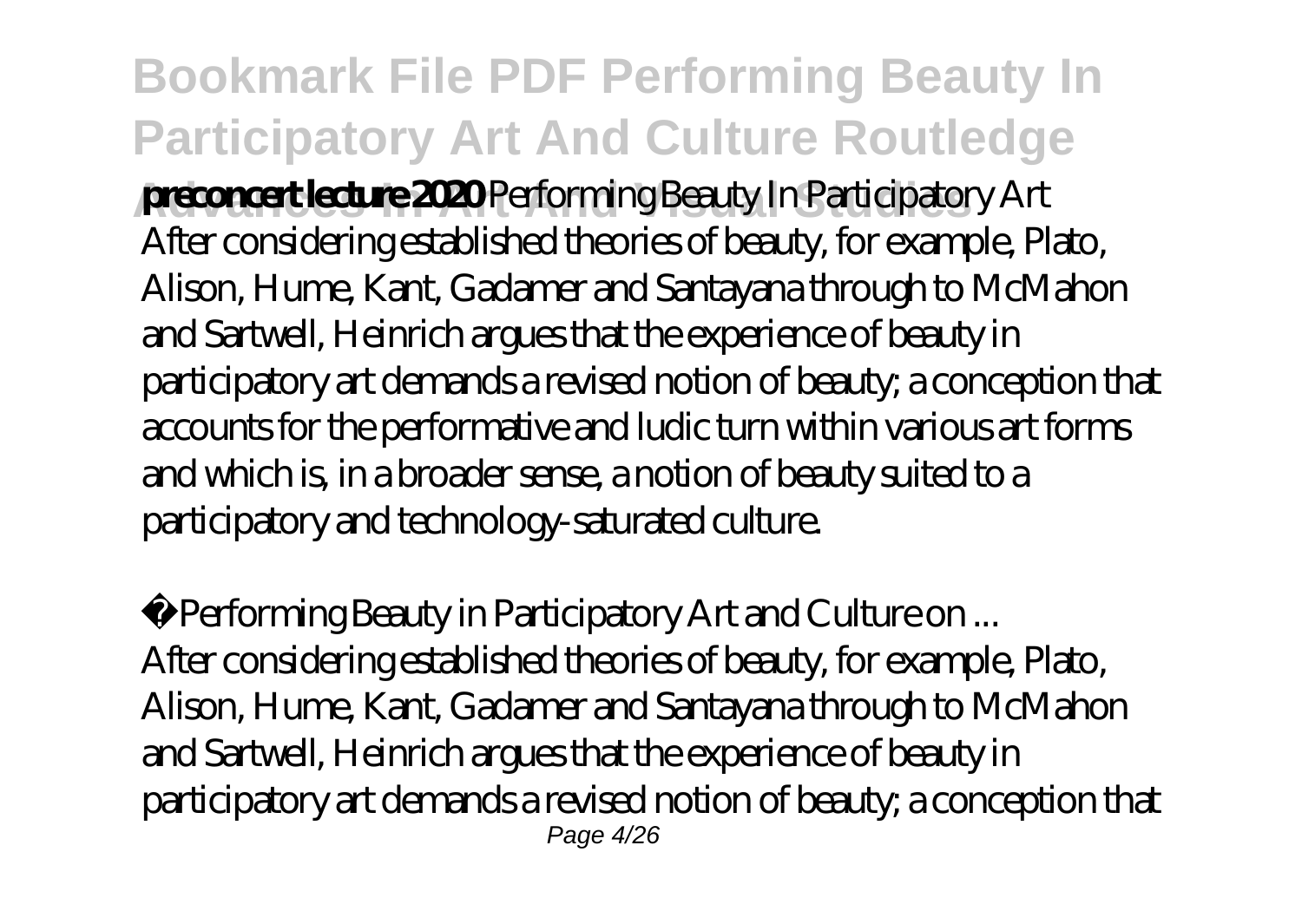**Bookmark File PDF Performing Beauty In Participatory Art And Culture Routledge breconcert lecture 2020** Performing Beauty In Participatory Art After considering established theories of beauty, for example, Plato, Alison, Hume, Kant, Gadamer and Santayana through to McMahon and Sartwell, Heinrich argues that the experience of beauty in participatory art demands a revised notion of beauty; a conception that accounts for the performative and ludic turn within various art forms and which is, in a broader sense, a notion of beauty suited to a participatory and technology-saturated culture.

Performing Beauty in Participatory Art and Culture on ... After considering established theories of beauty, for example, Plato, Alison, Hume, Kant, Gadamer and Santayana through to McMahon and Sartwell, Heinrich argues that the experience of beauty in participatory art demands a revised notion of beauty; a conception that Page 4/26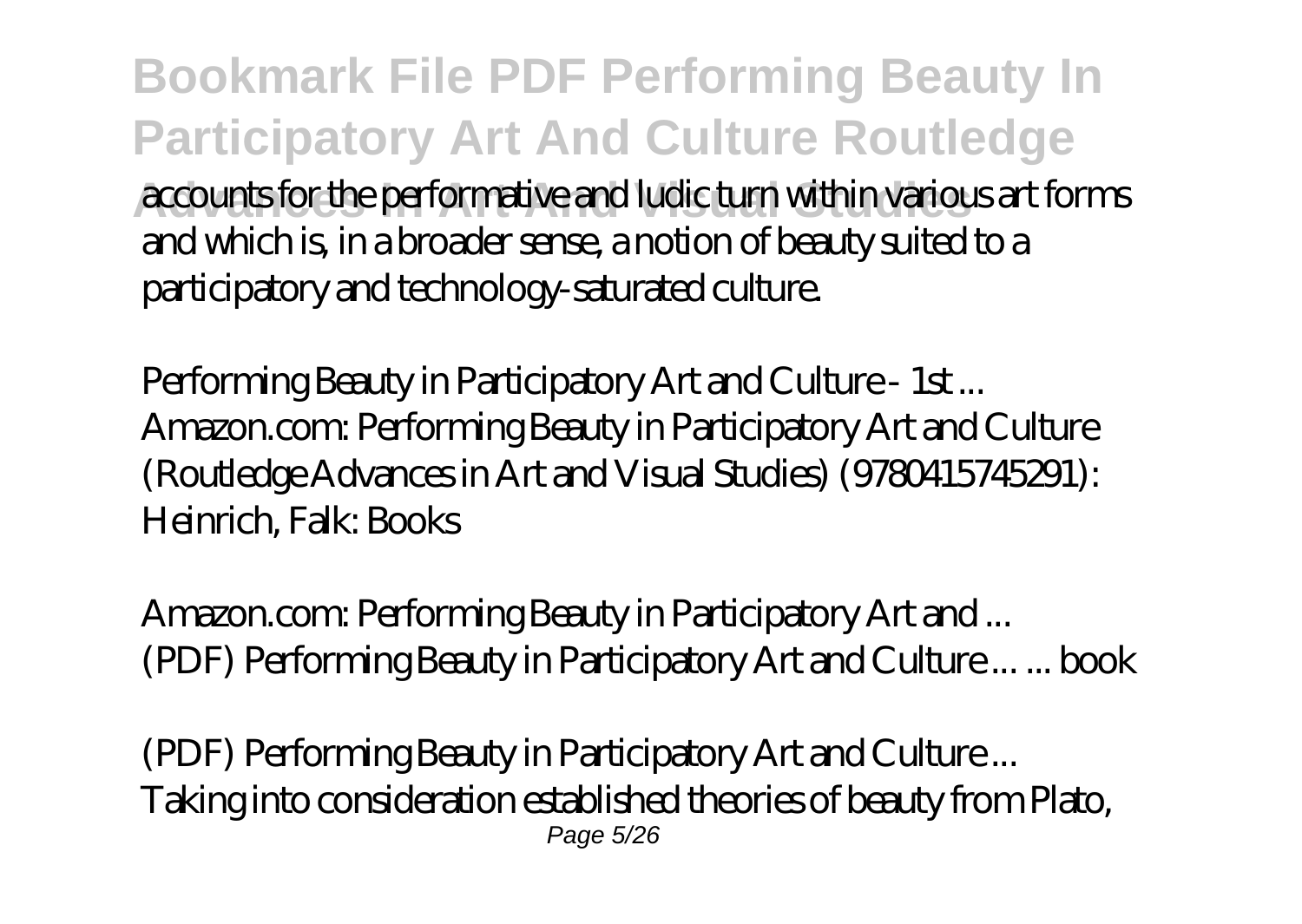**Bookmark File PDF Performing Beauty In Participatory Art And Culture Routledge Advances In Art And Visual Studies** accounts for the performative and ludic turn within various art forms and which is, in a broader sense, a notion of beauty suited to a participatory and technology-saturated culture.

Performing Beauty in Participatory Art and Culture - 1st ... Amazon.com: Performing Beauty in Participatory Art and Culture (Routledge Advances in Art and Visual Studies) (9780415745291): Heinrich, Falk: Books

Amazon.com: Performing Beauty in Participatory Art and ... (PDF) Performing Beauty in Participatory Art and Culture ... ... book

(PDF) Performing Beauty in Participatory Art and Culture ... Taking into consideration established theories of beauty from Plato, Page 5/26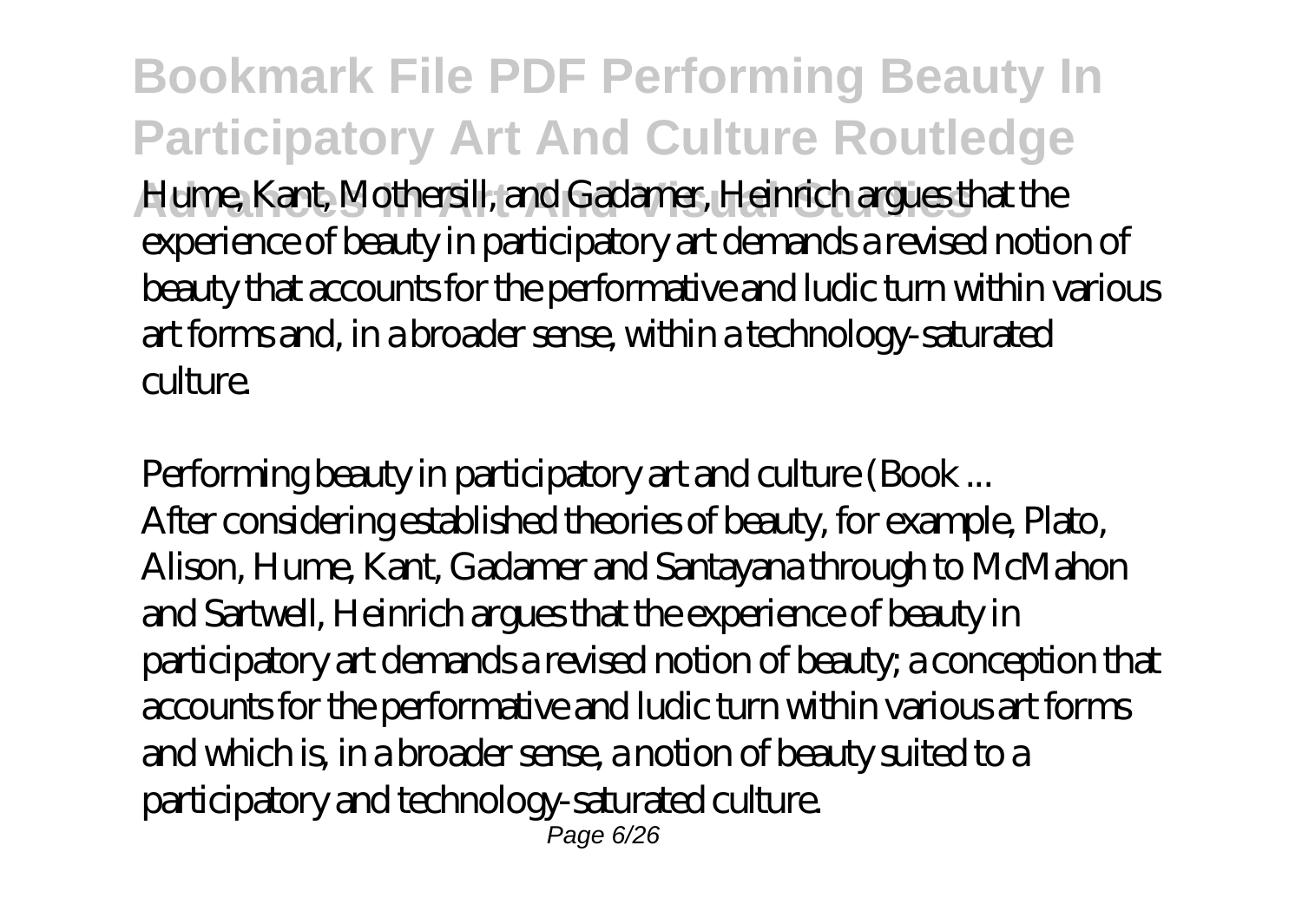**Bookmark File PDF Performing Beauty In Participatory Art And Culture Routledge Advances In Art And Visual Studies** Hume, Kant, Mothersill, and Gadamer, Heinrich argues that the experience of beauty in participatory art demands a revised notion of beauty that accounts for the performative and ludic turn within various art forms and, in a broader sense, within a technology-saturated culture.

Performing beauty in participatory art and culture (Book ... After considering established theories of beauty, for example, Plato, Alison, Hume, Kant, Gadamer and Santayana through to McMahon and Sartwell, Heinrich argues that the experience of beauty in participatory art demands a revised notion of beauty; a conception that accounts for the performative and ludic turn within various art forms and which is, in a broader sense, a notion of beauty suited to a participatory and technology-saturated culture. Page 6/26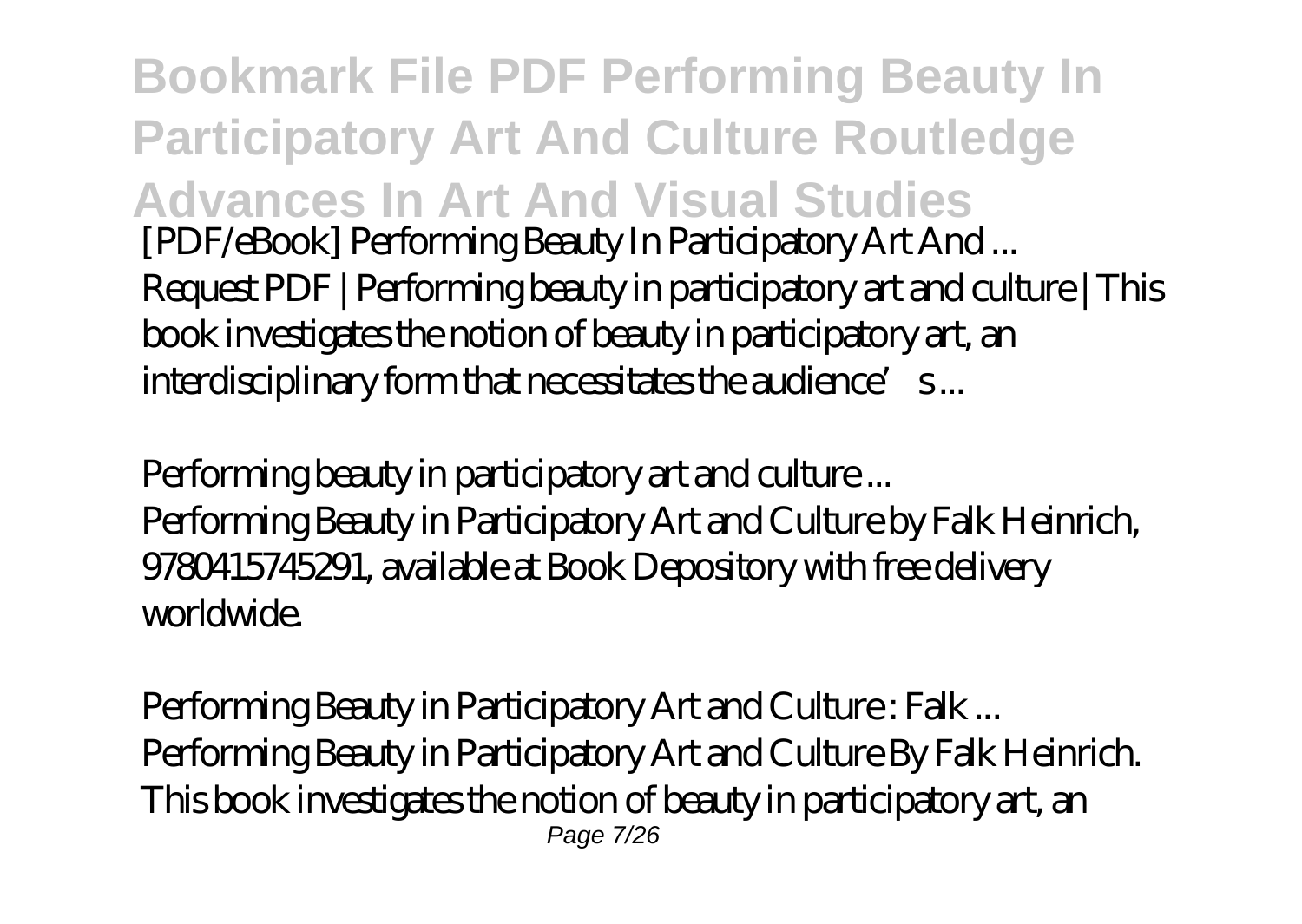**Bookmark File PDF Performing Beauty In Participatory Art And Culture Routledge Advances In Art And Visual Studies** [PDF/eBook] Performing Beauty In Participatory Art And ... Request PDF | Performing beauty in participatory art and culture | This book investigates the notion of beauty in participatory art, an interdisciplinary form that necessitates the audience's...

Performing beauty in participatory art and culture ... Performing Beauty in Participatory Art and Culture by Falk Heinrich, 9780415745291, available at Book Depository with free delivery worldwide.

Performing Beauty in Participatory Art and Culture : Falk ... Performing Beauty in Participatory Art and Culture By Falk Heinrich. This book investigates the notion of beauty in participatory art, an Page 7/26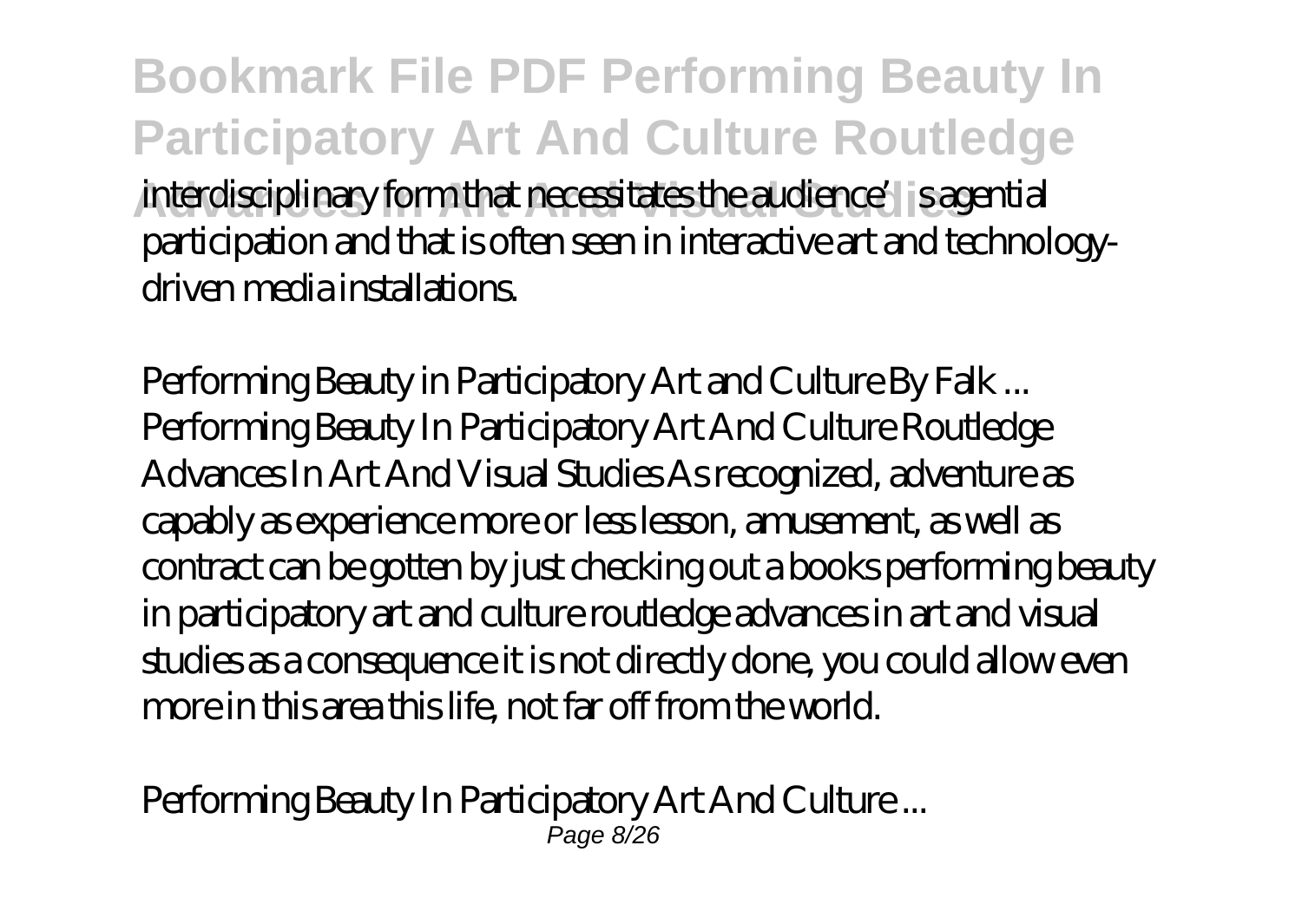**Bookmark File PDF Performing Beauty In Participatory Art And Culture Routledge** interdisciplinary form that necessitates the audience's is agential participation and that is often seen in interactive art and technologydriven media installations.

Performing Beauty in Participatory Art and Culture By Falk ... Performing Beauty In Participatory Art And Culture Routledge Advances In Art And Visual Studies As recognized, adventure as capably as experience more or less lesson, amusement, as well as contract can be gotten by just checking out a books performing beauty in participatory art and culture routledge advances in art and visual studies as a consequence it is not directly done, you could allow even more in this area this life, not far off from the world.

Performing Beauty In Participatory Art And Culture ... Page 8/26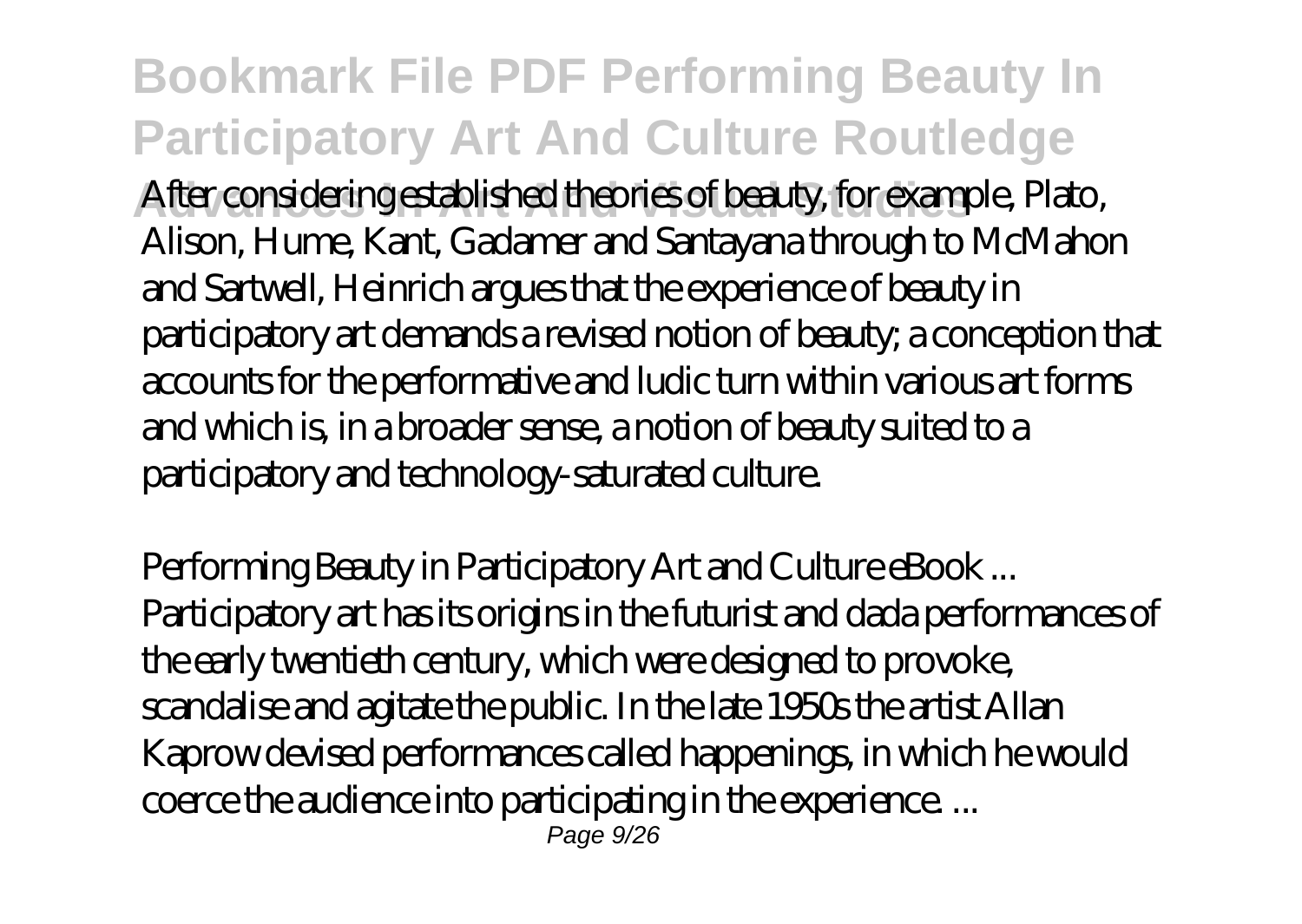**Bookmark File PDF Performing Beauty In Participatory Art And Culture Routledge** After considering established theories of beauty, for example, Plato, Alison, Hume, Kant, Gadamer and Santayana through to McMahon and Sartwell, Heinrich argues that the experience of beauty in participatory art demands a revised notion of beauty; a conception that accounts for the performative and ludic turn within various art forms and which is, in a broader sense, a notion of beauty suited to a participatory and technology-saturated culture.

Performing Beauty in Participatory Art and Culture eBook ... Participatory art has its origins in the futurist and dada performances of the early twentieth century, which were designed to provoke, scandalise and agitate the public. In the late 1950s the artist Allan Kaprow devised performances called happenings, in which he would coerce the audience into participating in the experience. ... Page 9/26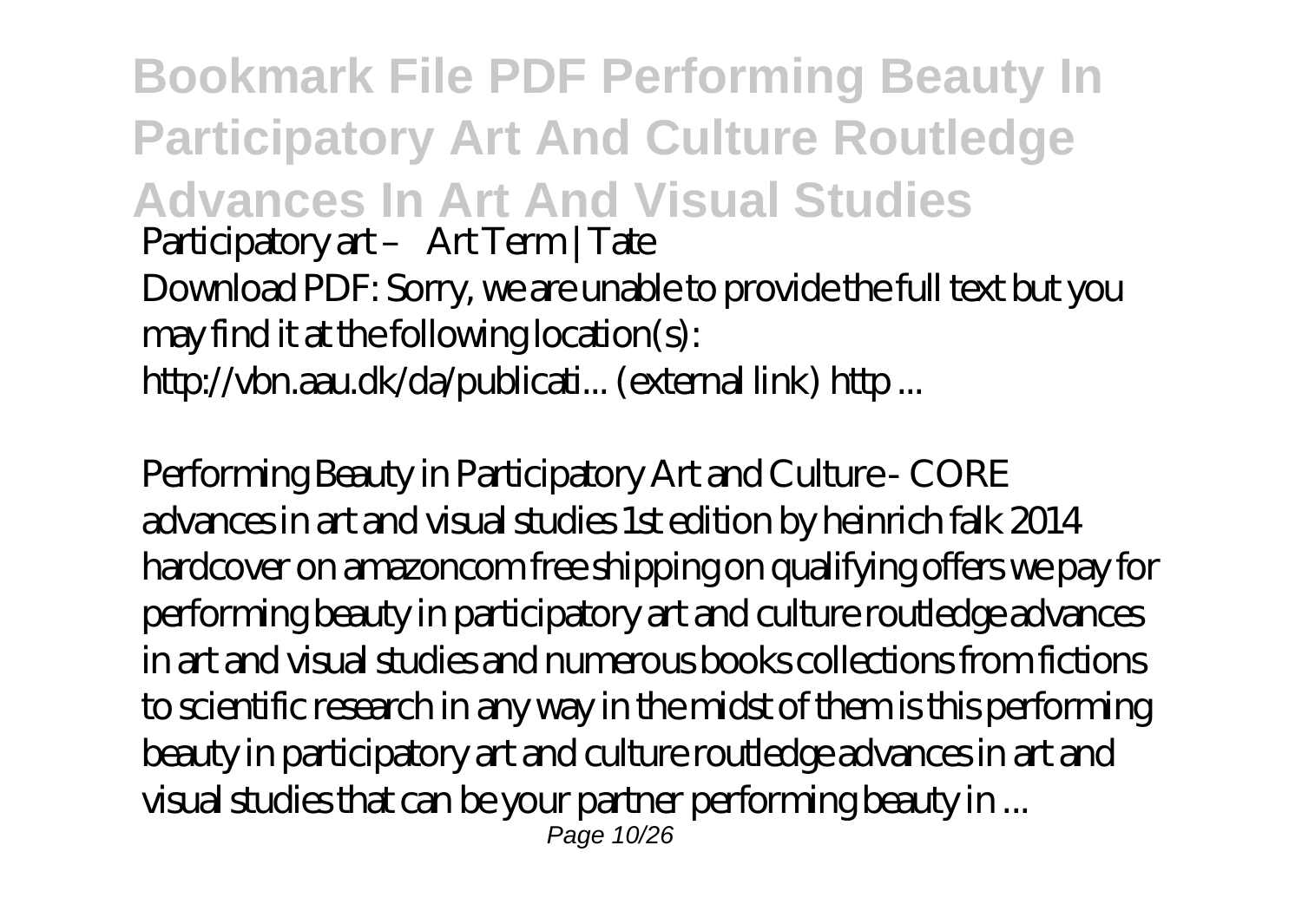**Bookmark File PDF Performing Beauty In Participatory Art And Culture Routledge Advances In Art And Visual Studies** Participatory art - Art Term | Tate Download PDF: Sorry, we are unable to provide the full text but you may find it at the following location(s): http://vbn.aau.dk/da/publicati... (external link) http ...

Performing Beauty in Participatory Art and Culture - CORE advances in art and visual studies 1st edition by heinrich falk 2014 hardcover on amazoncom free shipping on qualifying offers we pay for performing beauty in participatory art and culture routledge advances in art and visual studies and numerous books collections from fictions to scientific research in any way in the midst of them is this performing beauty in participatory art and culture routledge advances in art and visual studies that can be your partner performing beauty in ... Page 10/26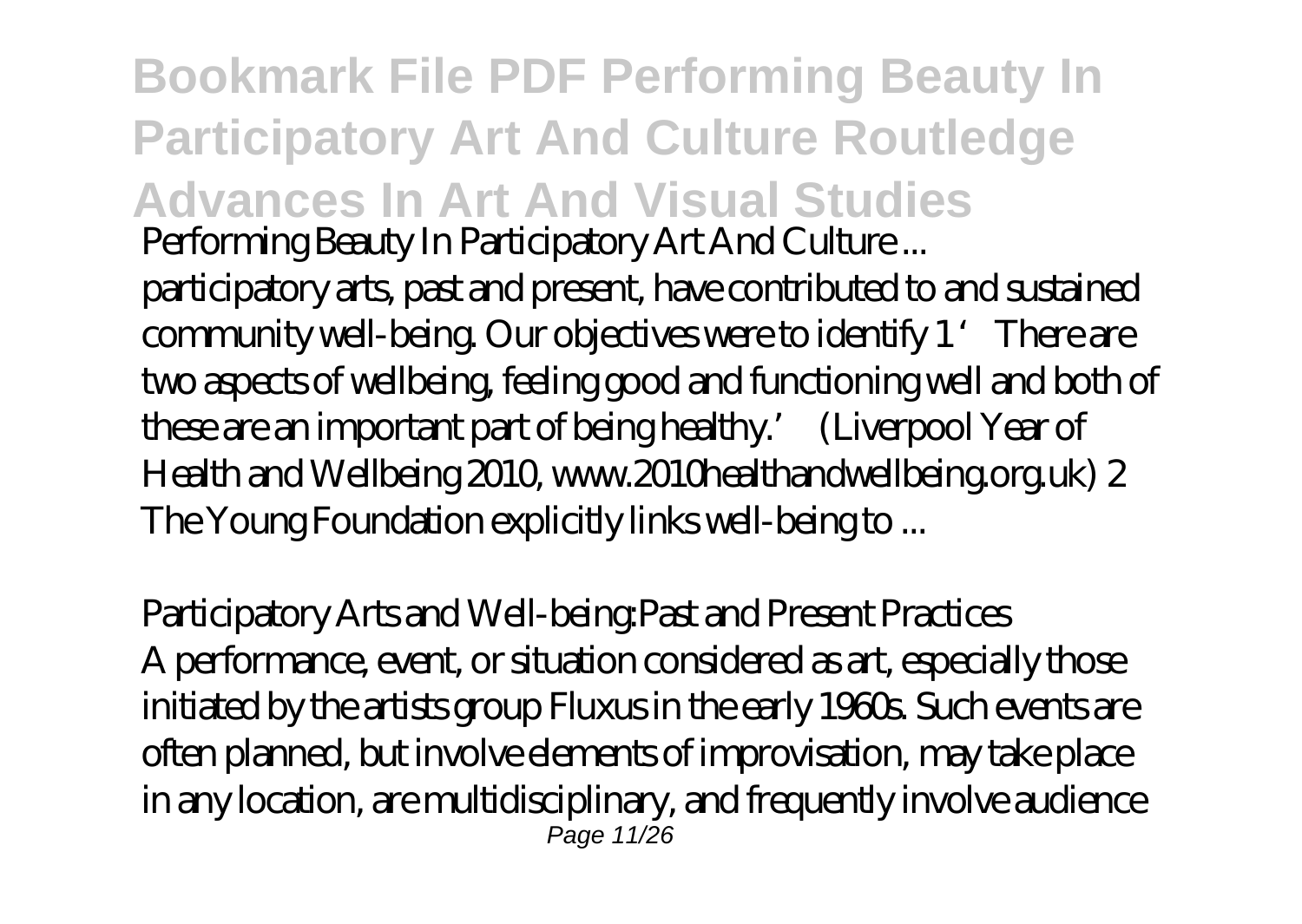**Bookmark File PDF Performing Beauty In Participatory Art And Culture Routledge Advances In Art And Visual Studies** Performing Beauty In Participatory Art And Culture ...

participatory arts, past and present, have contributed to and sustained community well-being. Our objectives were to identify 1 'There are two aspects of wellbeing, feeling good and functioning well and both of these are an important part of being healthy.' (Liverpool Year of Health and Wellbeing 2010, www.2010healthandwellbeing.org.uk) 2 The Young Foundation explicitly links well-being to ...

Participatory Arts and Well-being:Past and Present Practices A performance, event, or situation considered as art, especially those initiated by the artists group Fluxus in the early 1960s. Such events are often planned, but involve elements of improvisation, may take place in any location, are multidisciplinary, and frequently involve audience Page 11/26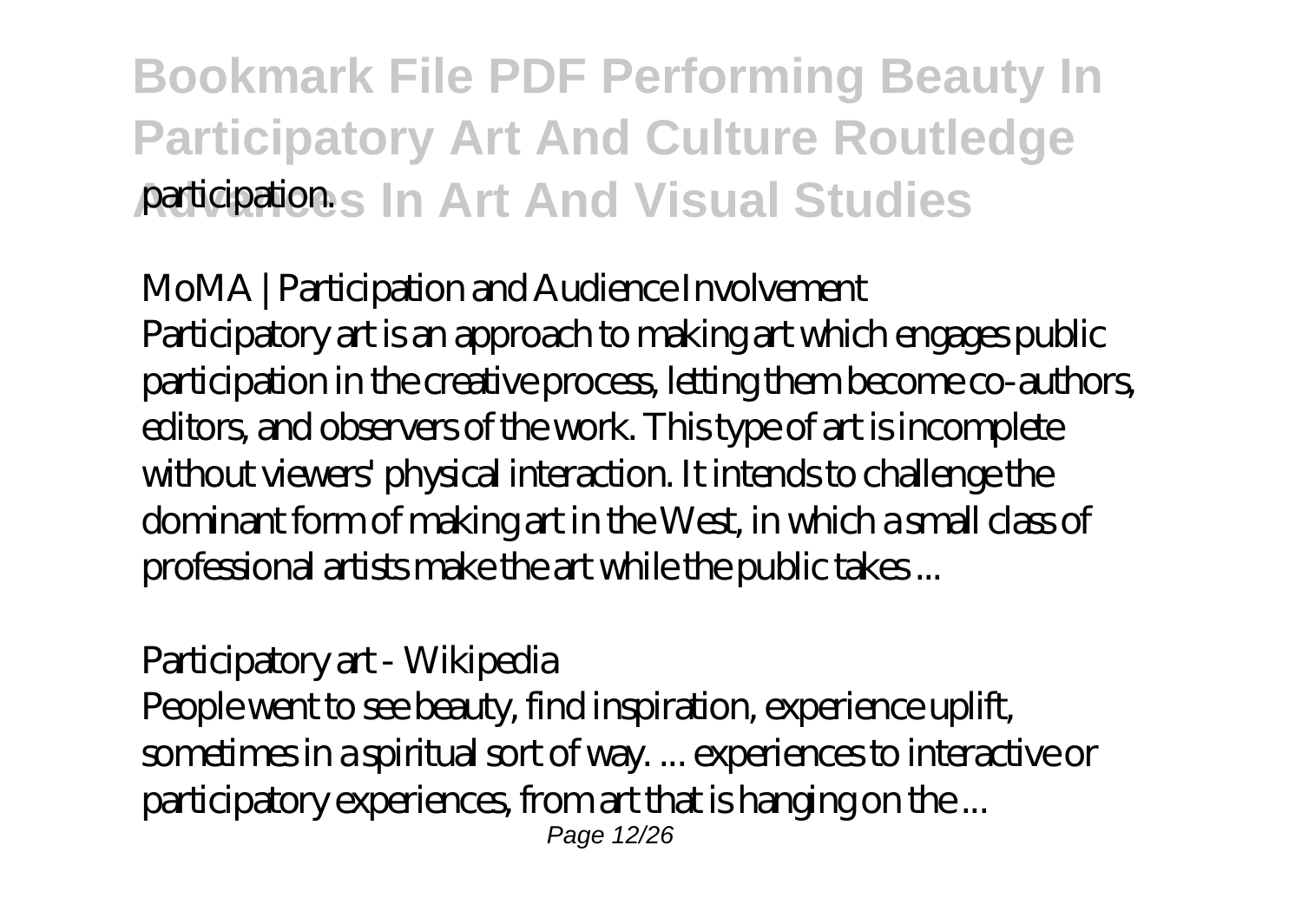#### **Bookmark File PDF Performing Beauty In Participatory Art And Culture Routledge Advances In Art And Visual Studies** participation.

MoMA | Participation and Audience Involvement Participatory art is an approach to making art which engages public participation in the creative process, letting them become co-authors, editors, and observers of the work. This type of art is incomplete without viewers' physical interaction. It intends to challenge the dominant form of making art in the West, in which a small class of professional artists make the art while the public takes ...

Participatory art - Wikipedia

People went to see beauty, find inspiration, experience uplift, sometimes in a spiritual sort of way. ... experiences to interactive or participatory experiences, from art that is hanging on the ... Page 12/26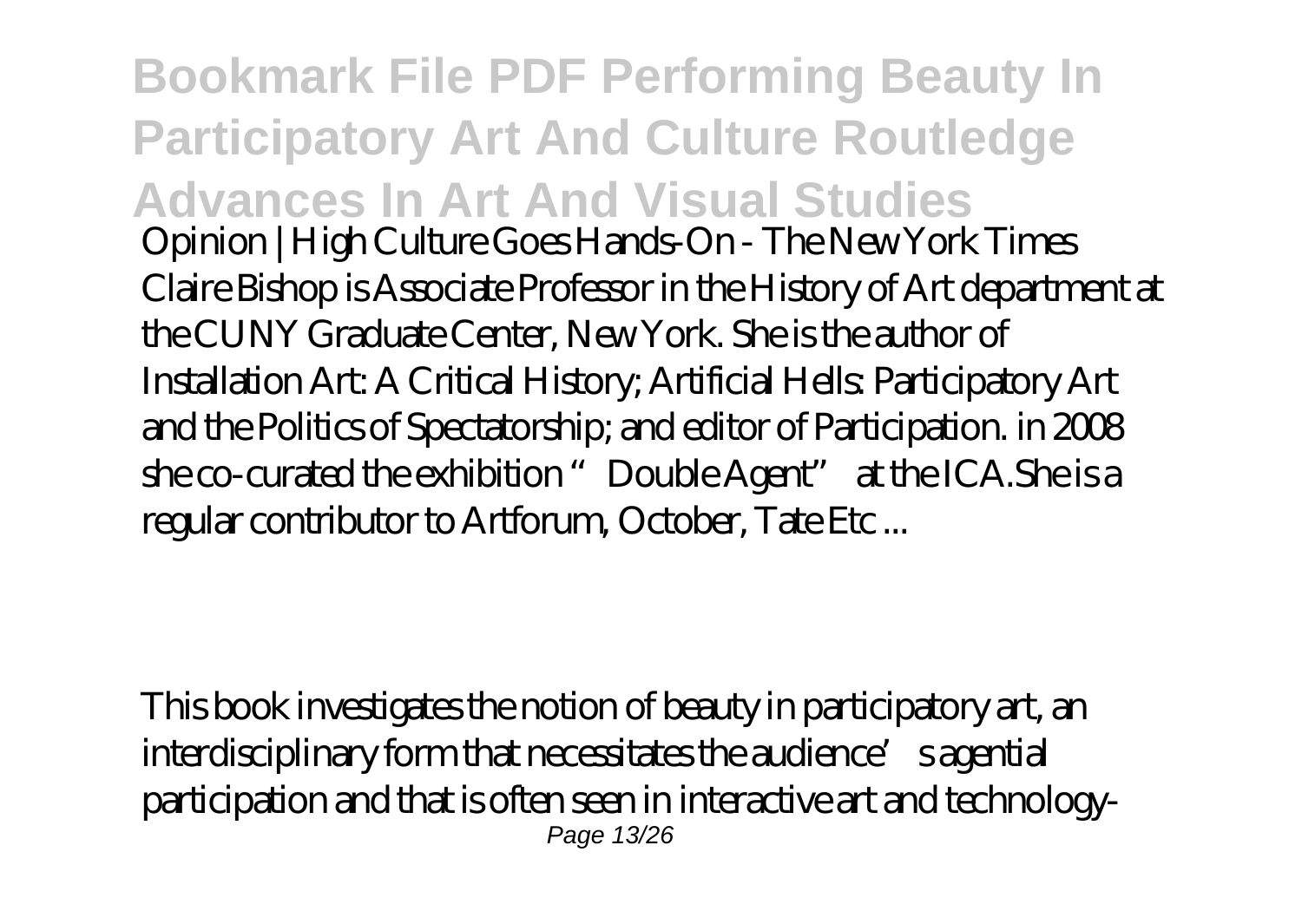**Bookmark File PDF Performing Beauty In Participatory Art And Culture Routledge Advances In Art And Visual Studies** Opinion | High Culture Goes Hands-On - The New York Times Claire Bishop is Associate Professor in the History of Art department at the CUNY Graduate Center, New York. She is the author of Installation Art: A Critical History; Artificial Hells: Participatory Art and the Politics of Spectatorship; and editor of Participation. in 2008 she co-curated the exhibition "Double Agent" at the ICA.She is a regular contributor to Artforum, October, Tate Etc ...

This book investigates the notion of beauty in participatory art, an interdisciplinary form that necessitates the audience's agential participation and that is often seen in interactive art and technology-Page 13/26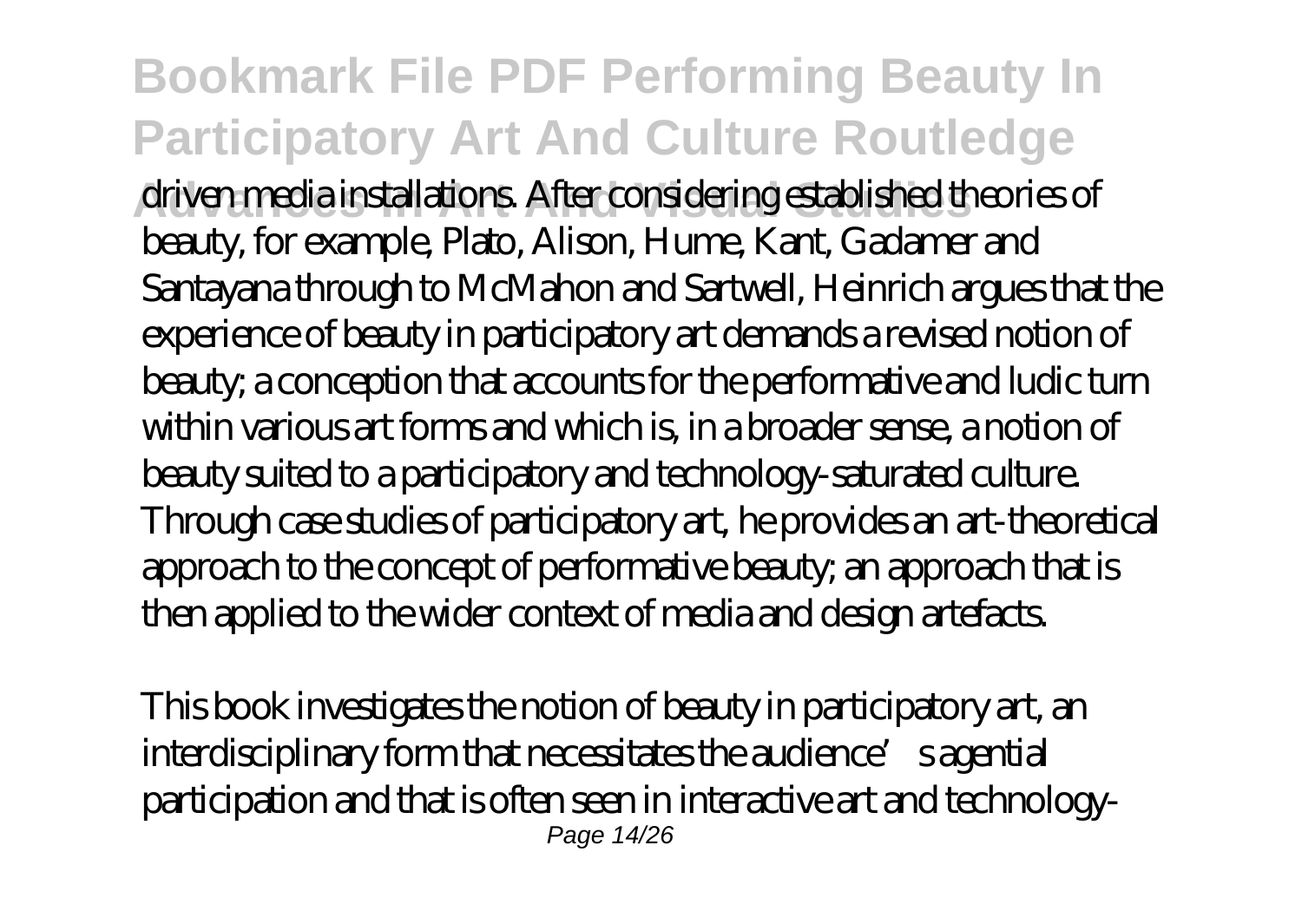**Bookmark File PDF Performing Beauty In Participatory Art And Culture Routledge Advances In Art And Visual Studies** driven media installations. After considering established theories of beauty, for example, Plato, Alison, Hume, Kant, Gadamer and Santayana through to McMahon and Sartwell, Heinrich argues that the experience of beauty in participatory art demands a revised notion of beauty; a conception that accounts for the performative and ludic turn within various art forms and which is, in a broader sense, a notion of beauty suited to a participatory and technology-saturated culture. Through case studies of participatory art, he provides an art-theoretical approach to the concept of performative beauty; an approach that is then applied to the wider context of media and design artefacts.

This book investigates the notion of beauty in participatory art, an interdisciplinary form that necessitates the audience's agential participation and that is often seen in interactive art and technology-Page 14/26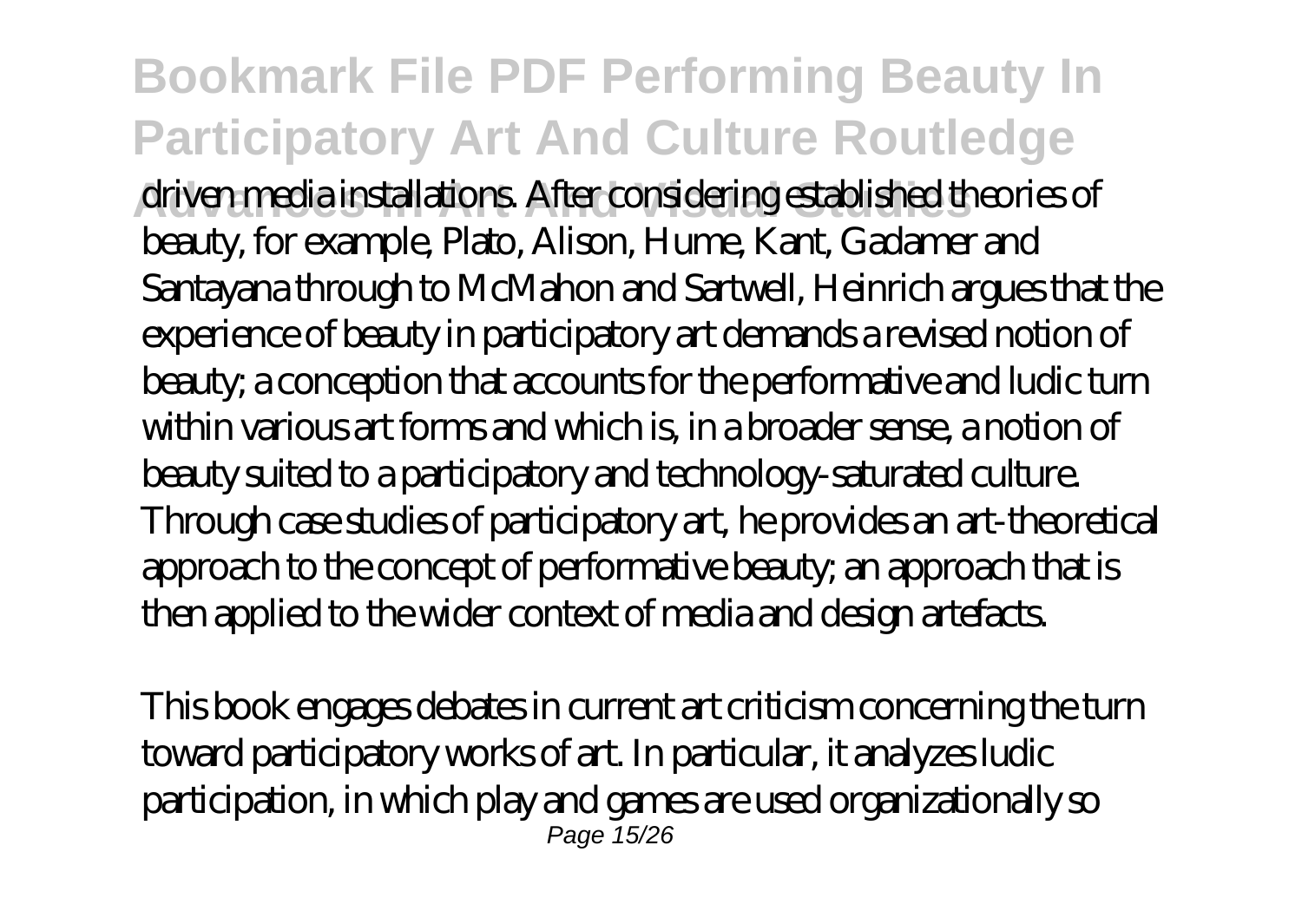**Bookmark File PDF Performing Beauty In Participatory Art And Culture Routledge Advances In Art And Visual Studies** driven media installations. After considering established theories of beauty, for example, Plato, Alison, Hume, Kant, Gadamer and Santayana through to McMahon and Sartwell, Heinrich argues that the experience of beauty in participatory art demands a revised notion of beauty; a conception that accounts for the performative and ludic turn within various art forms and which is, in a broader sense, a notion of beauty suited to a participatory and technology-saturated culture. Through case studies of participatory art, he provides an art-theoretical approach to the concept of performative beauty; an approach that is then applied to the wider context of media and design artefacts.

This book engages debates in current art criticism concerning the turn toward participatory works of art. In particular, it analyzes ludic participation, in which play and games are used organizationally so Page 15/26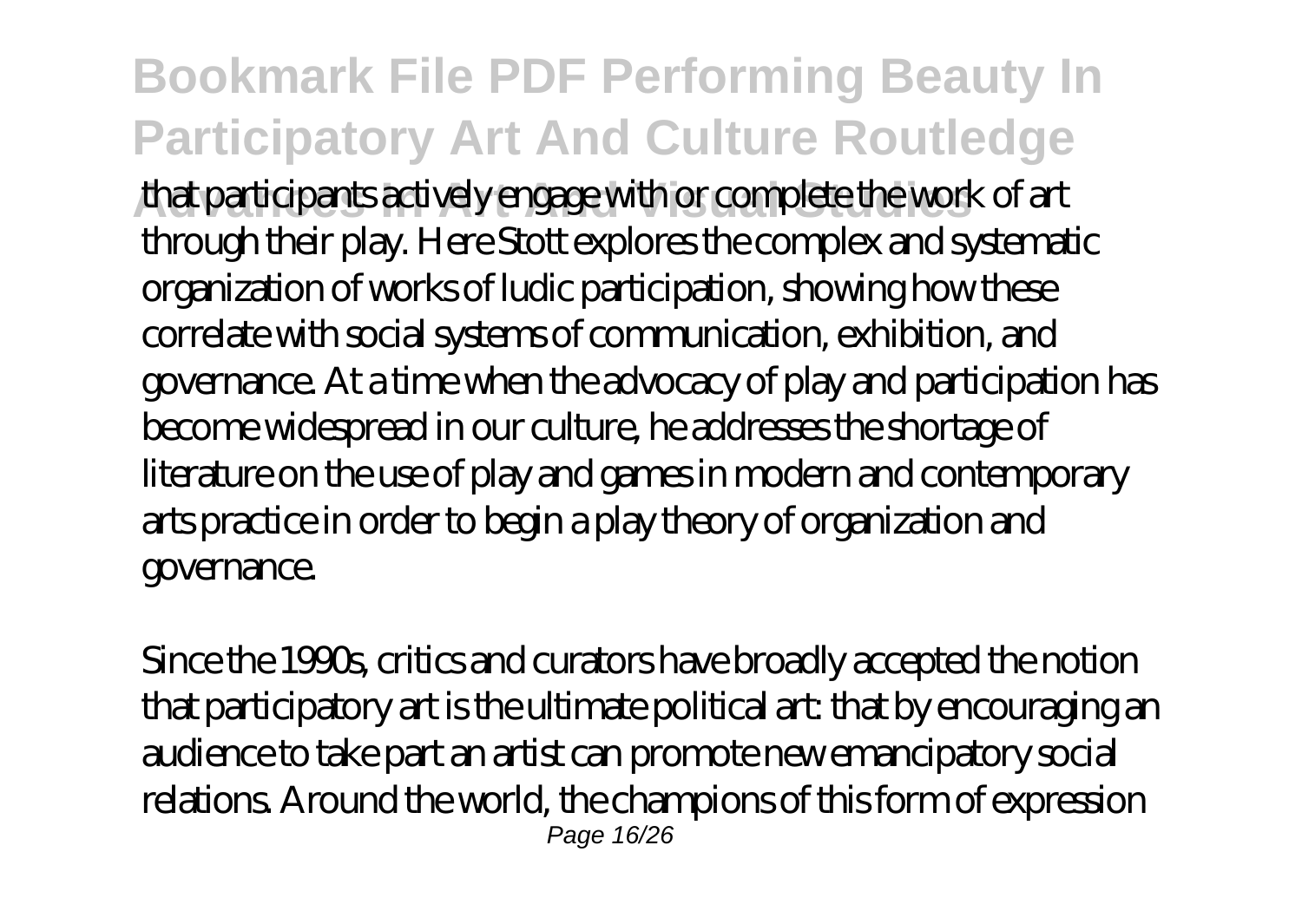**Bookmark File PDF Performing Beauty In Participatory Art And Culture Routledge Advances In Art And Visual Studies** that participants actively engage with or complete the work of art through their play. Here Stott explores the complex and systematic organization of works of ludic participation, showing how these correlate with social systems of communication, exhibition, and governance. At a time when the advocacy of play and participation has become widespread in our culture, he addresses the shortage of literature on the use of play and games in modern and contemporary arts practice in order to begin a play theory of organization and governance.

Since the 1990s, critics and curators have broadly accepted the notion that participatory art is the ultimate political art: that by encouraging an audience to take part an artist can promote new emancipatory social relations. Around the world, the champions of this form of expression Page 16/26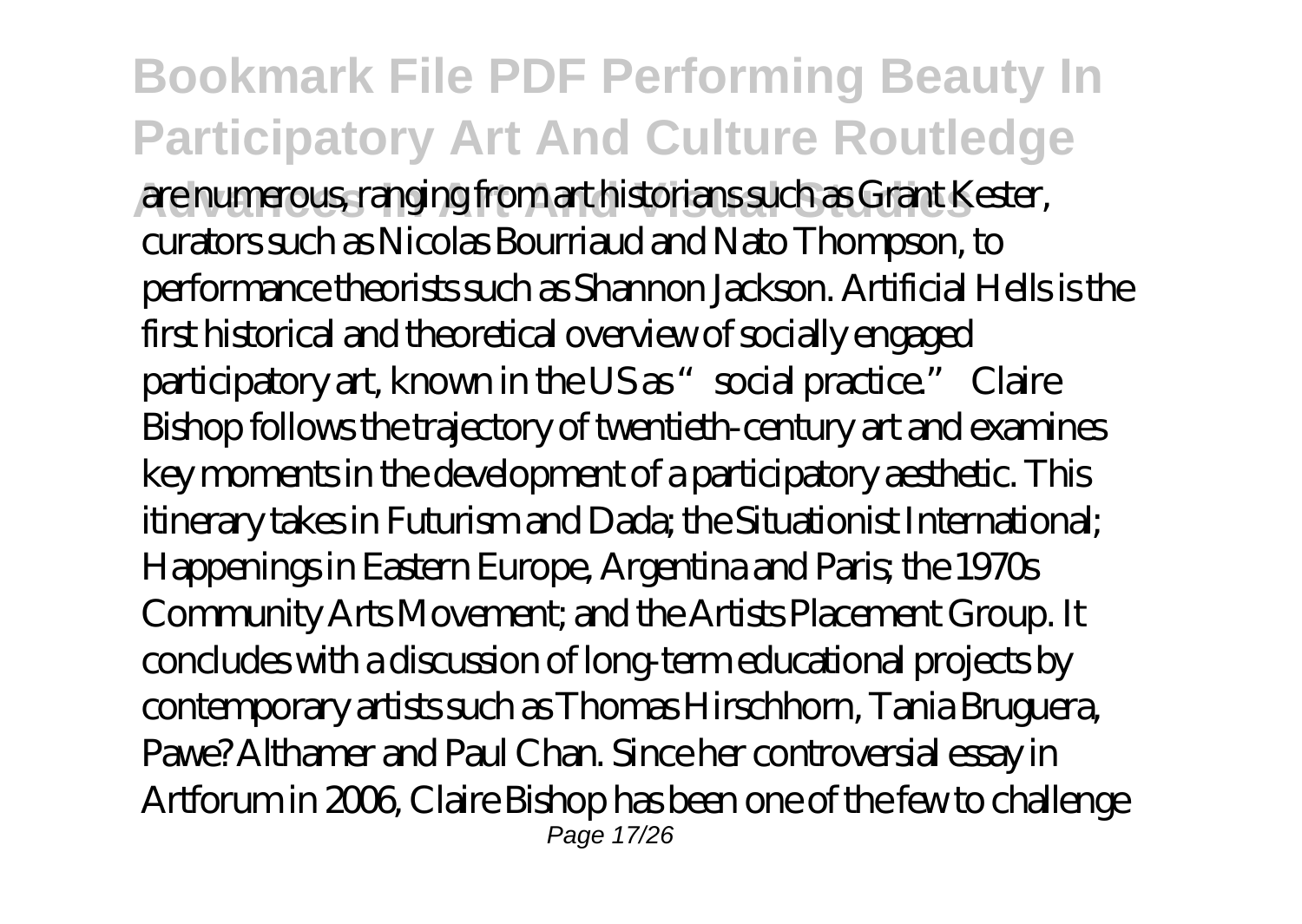**Bookmark File PDF Performing Beauty In Participatory Art And Culture Routledge Advances In Art And Visual Studies** are numerous, ranging from art historians such as Grant Kester, curators such as Nicolas Bourriaud and Nato Thompson, to performance theorists such as Shannon Jackson. Artificial Hells is the first historical and theoretical overview of socially engaged participatory art, known in the US as "social practice." Claire Bishop follows the trajectory of twentieth-century art and examines key moments in the development of a participatory aesthetic. This itinerary takes in Futurism and Dada; the Situationist International; Happenings in Eastern Europe, Argentina and Paris; the 1970s Community Arts Movement; and the Artists Placement Group. It concludes with a discussion of long-term educational projects by contemporary artists such as Thomas Hirschhorn, Tania Bruguera, Pawe? Althamer and Paul Chan. Since her controversial essay in Artforum in 2006, Claire Bishop has been one of the few to challenge Page 17/26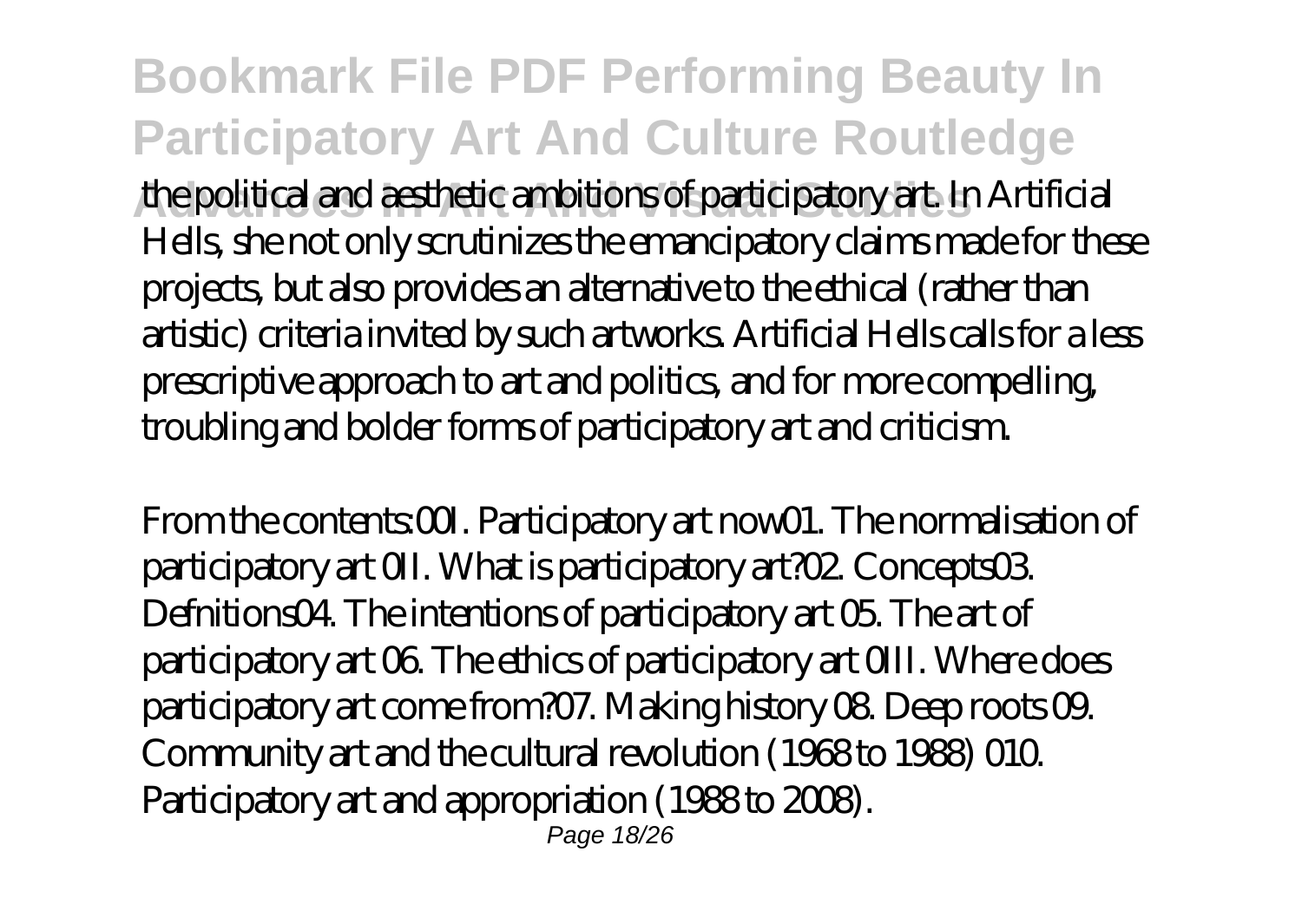**Bookmark File PDF Performing Beauty In Participatory Art And Culture Routledge Advances In Art And Visual Studies** the political and aesthetic ambitions of participatory art. In Artificial Hells, she not only scrutinizes the emancipatory claims made for these projects, but also provides an alternative to the ethical (rather than artistic) criteria invited by such artworks. Artificial Hells calls for a less prescriptive approach to art and politics, and for more compelling, troubling and bolder forms of participatory art and criticism.

From the contents: O.U. Participatory art now 01. The normalisation of participatory art 0II. What is participatory art?02. Concepts03. Defnitions04. The intentions of participatory art 05. The art of participatory art 06. The ethics of participatory art 0III. Where does participatory art come from?07. Making history 08. Deep roots 09. Community art and the cultural revolution (1968 to 1988) 010. Participatory art and appropriation (1988 to 2008). Page 18/26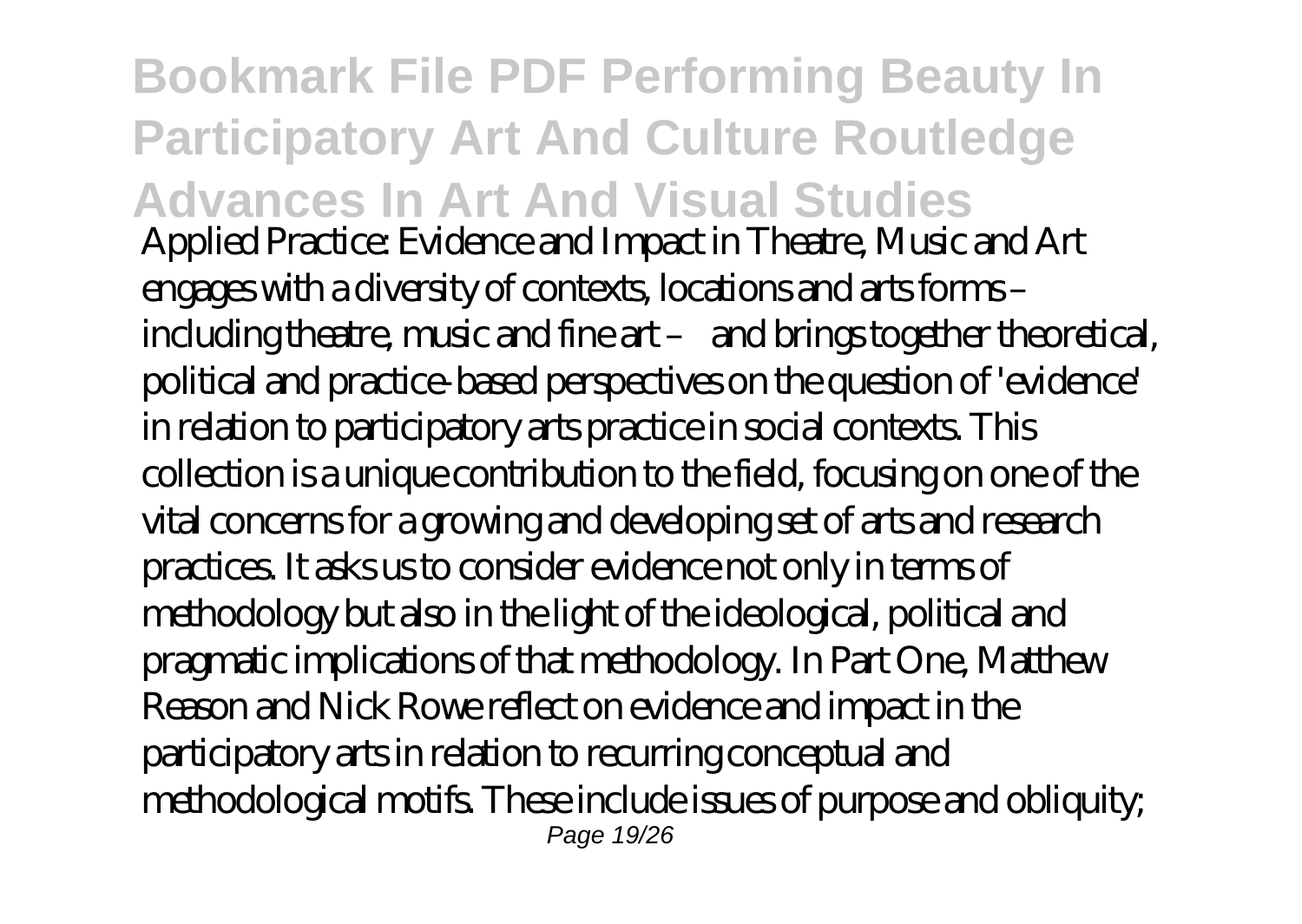**Bookmark File PDF Performing Beauty In Participatory Art And Culture Routledge Advances In Art And Visual Studies** Applied Practice: Evidence and Impact in Theatre, Music and Art engages with a diversity of contexts, locations and arts forms – including theatre, music and fine art – and brings together theoretical, political and practice-based perspectives on the question of 'evidence' in relation to participatory arts practice in social contexts. This collection is a unique contribution to the field, focusing on one of the vital concerns for a growing and developing set of arts and research practices. It asks us to consider evidence not only in terms of methodology but also in the light of the ideological, political and pragmatic implications of that methodology. In Part One, Matthew Reason and Nick Rowe reflect on evidence and impact in the participatory arts in relation to recurring conceptual and methodological motifs. These include issues of purpose and obliquity; Page 19/26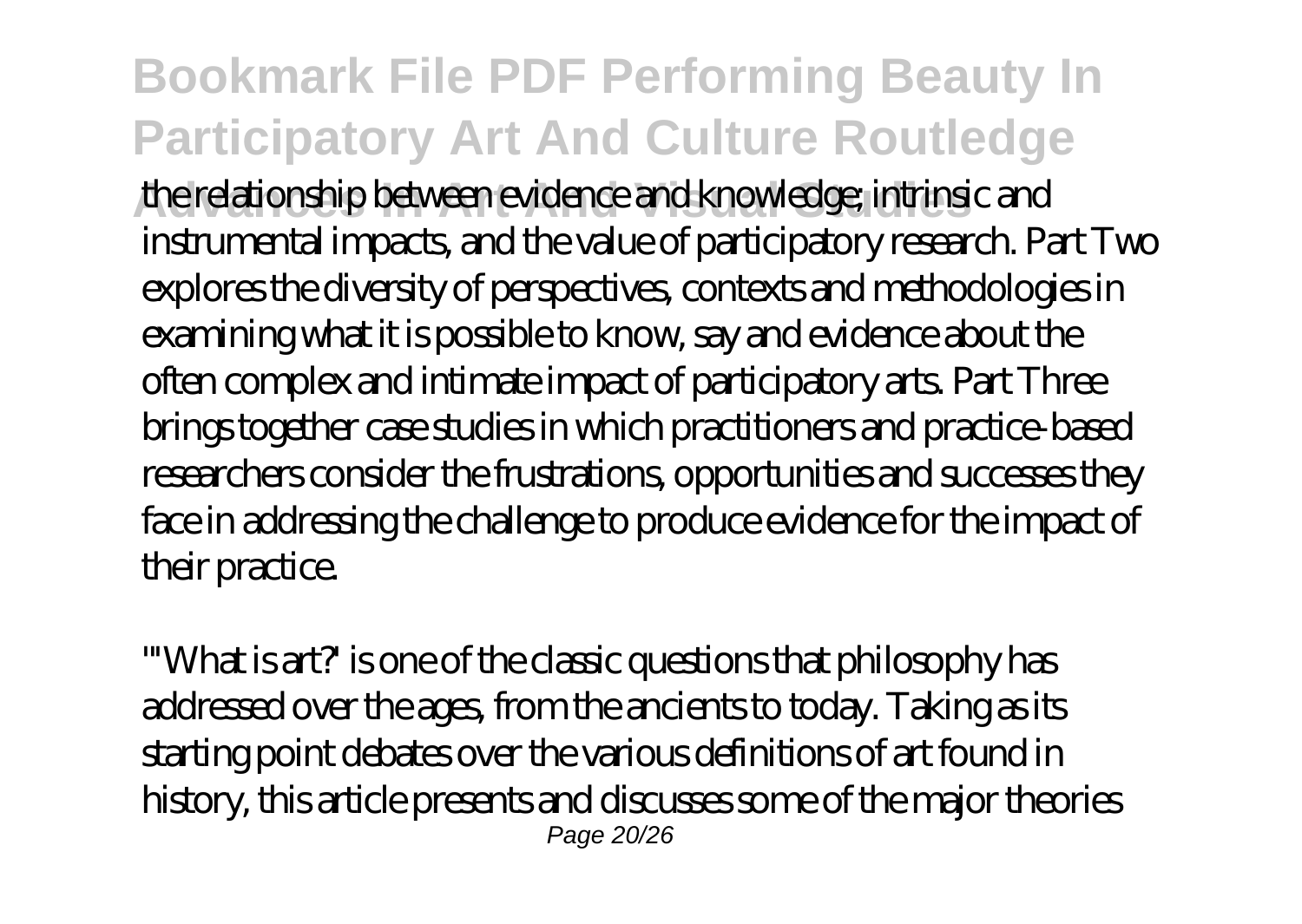**Bookmark File PDF Performing Beauty In Participatory Art And Culture Routledge Advances In Art And Visual Studies** the relationship between evidence and knowledge; intrinsic and instrumental impacts, and the value of participatory research. Part Two explores the diversity of perspectives, contexts and methodologies in examining what it is possible to know, say and evidence about the often complex and intimate impact of participatory arts. Part Three brings together case studies in which practitioners and practice-based researchers consider the frustrations, opportunities and successes they face in addressing the challenge to produce evidence for the impact of their practice.

"'What is art?' is one of the classic questions that philosophy has addressed over the ages, from the ancients to today. Taking as its starting point debates over the various definitions of art found in history, this article presents and discusses some of the major theories Page 20/26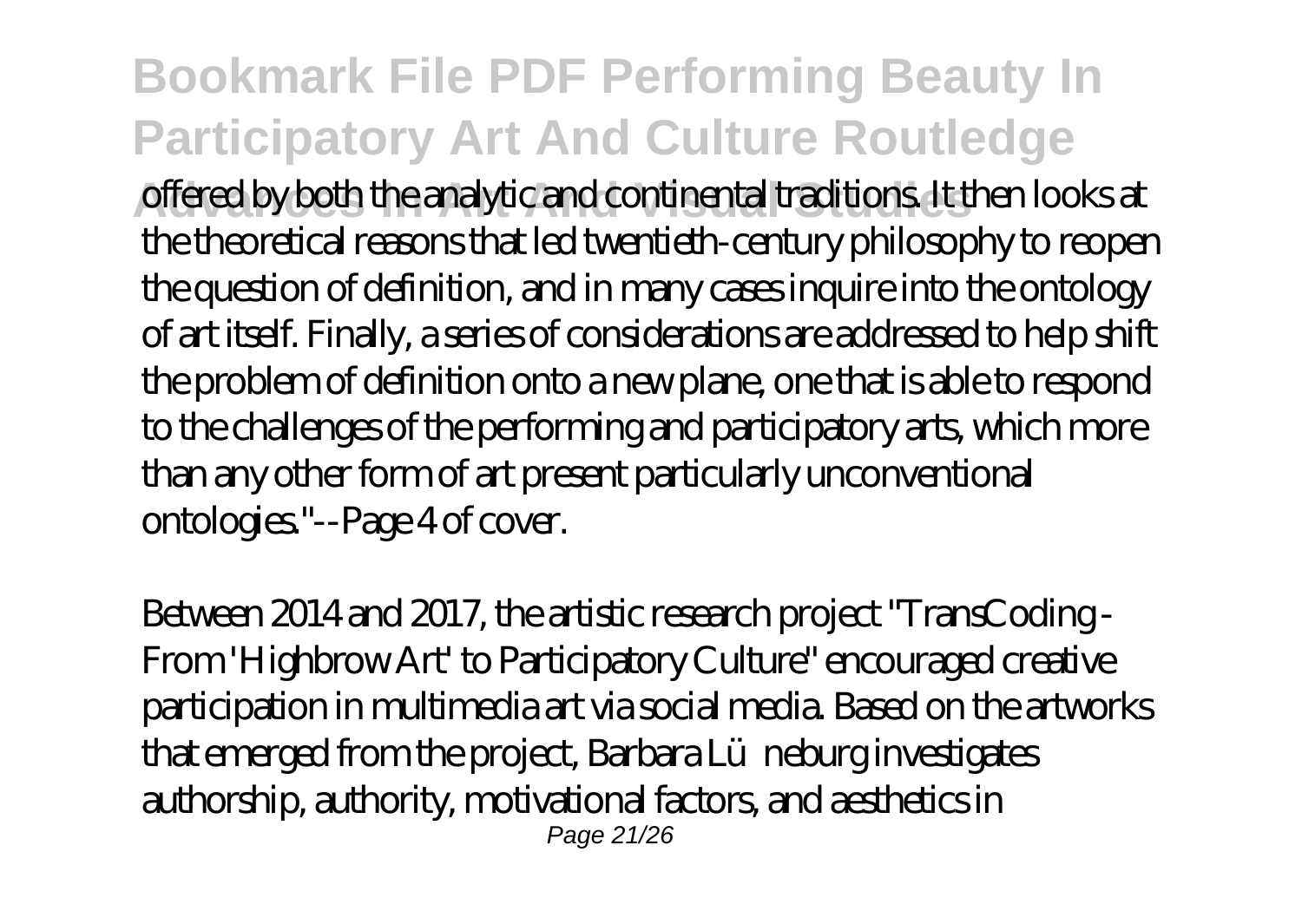### **Bookmark File PDF Performing Beauty In Participatory Art And Culture Routledge**

**Advances In Art And Visual Studies** offered by both the analytic and continental traditions. It then looks at the theoretical reasons that led twentieth-century philosophy to reopen the question of definition, and in many cases inquire into the ontology of art itself. Finally, a series of considerations are addressed to help shift the problem of definition onto a new plane, one that is able to respond to the challenges of the performing and participatory arts, which more than any other form of art present particularly unconventional ontologies."--Page 4 of cover.

Between 2014 and 2017, the artistic research project "TransCoding - From 'Highbrow Art' to Participatory Culture" encouraged creative participation in multimedia art via social media. Based on the artworks that emerged from the project, Barbara Lü neburg investigates authorship, authority, motivational factors, and aesthetics in Page 21/26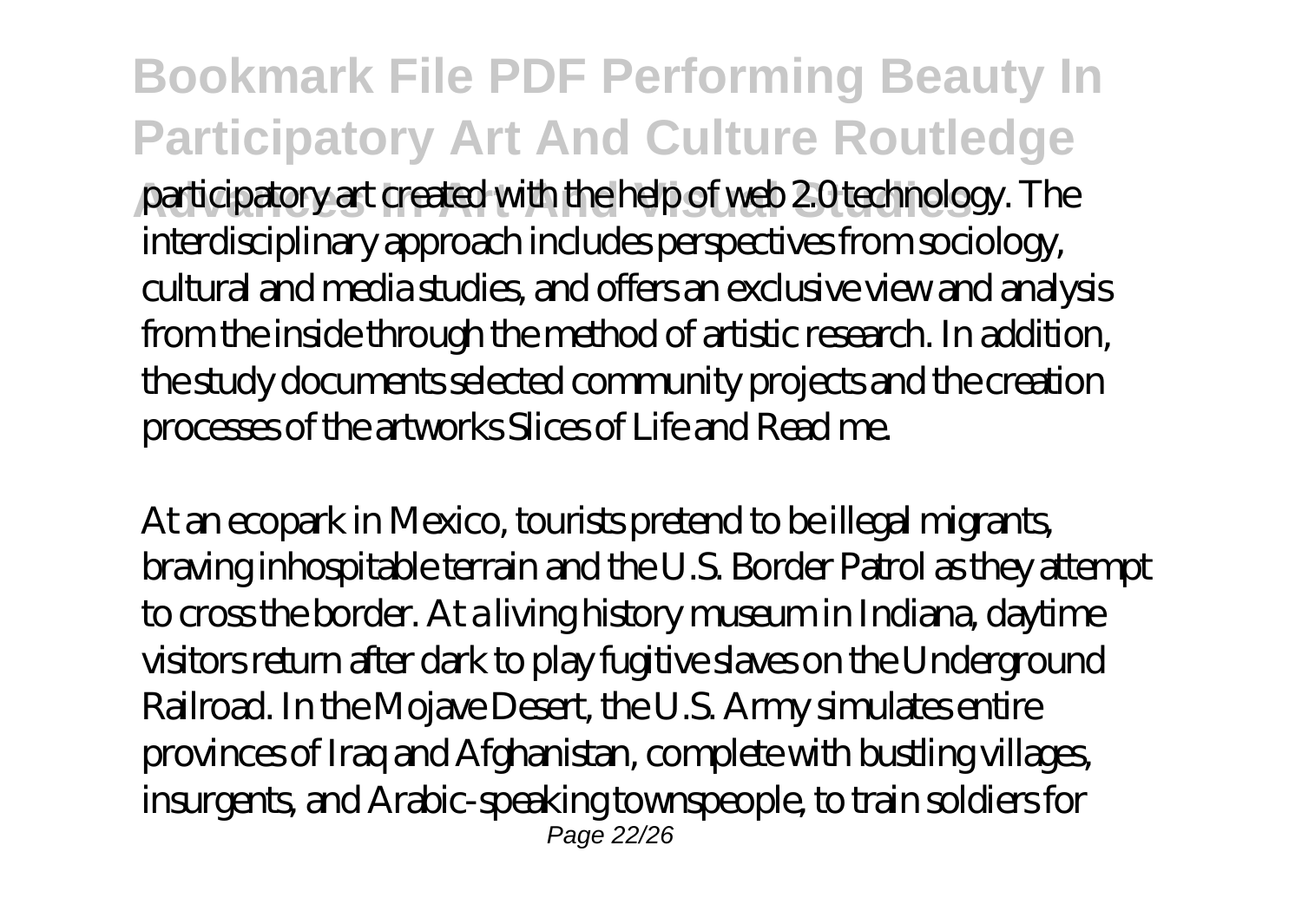**Bookmark File PDF Performing Beauty In Participatory Art And Culture Routledge** participatory art created with the help of web 2.0 technology. The interdisciplinary approach includes perspectives from sociology, cultural and media studies, and offers an exclusive view and analysis from the inside through the method of artistic research. In addition, the study documents selected community projects and the creation processes of the artworks Slices of Life and Read me.

At an ecopark in Mexico, tourists pretend to be illegal migrants, braving inhospitable terrain and the U.S. Border Patrol as they attempt to cross the border. At a living history museum in Indiana, daytime visitors return after dark to play fugitive slaves on the Underground Railroad. In the Mojave Desert, the U.S. Army simulates entire provinces of Iraq and Afghanistan, complete with bustling villages, insurgents, and Arabic-speaking townspeople, to train soldiers for Page 22/26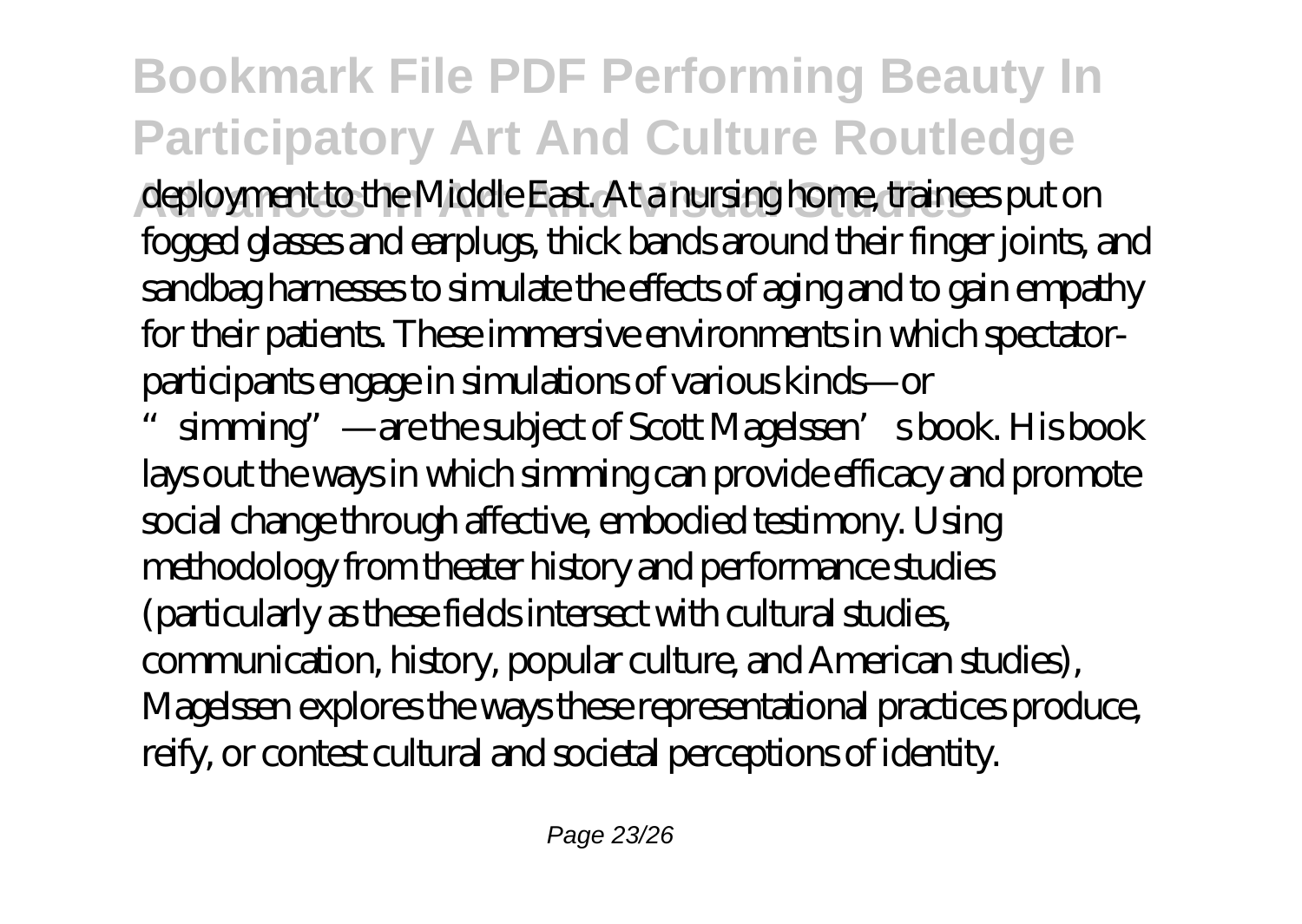## **Bookmark File PDF Performing Beauty In Participatory Art And Culture Routledge**

**Advances In Art And Visual Studies** deployment to the Middle East. At a nursing home, trainees put on fogged glasses and earplugs, thick bands around their finger joints, and sandbag harnesses to simulate the effects of aging and to gain empathy for their patients. These immersive environments in which spectatorparticipants engage in simulations of various kinds—or

simming" —are the subject of Scott Magelssen's book. His book lays out the ways in which simming can provide efficacy and promote social change through affective, embodied testimony. Using methodology from theater history and performance studies (particularly as these fields intersect with cultural studies, communication, history, popular culture, and American studies), Magelssen explores the ways these representational practices produce, reify, or contest cultural and societal perceptions of identity.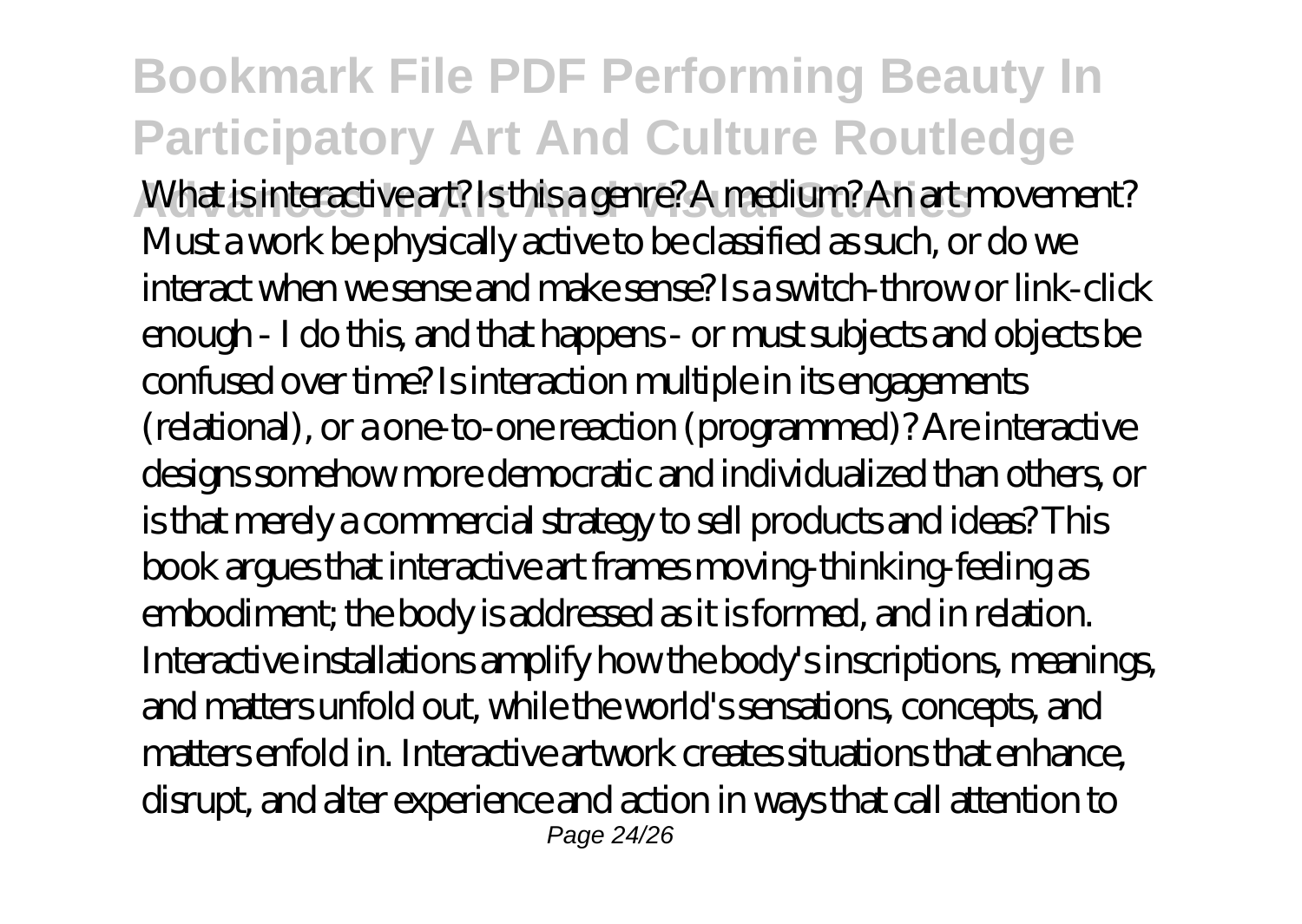**Bookmark File PDF Performing Beauty In Participatory Art And Culture Routledge Advances In Art And Visual Studies** What is interactive art? Is this a genre? A medium? An art movement? Must a work be physically active to be classified as such, or do we interact when we sense and make sense? Is a switch-throw or link-click enough - I do this, and that happens - or must subjects and objects be confused over time? Is interaction multiple in its engagements (relational), or a one-to-one reaction (programmed)? Are interactive designs somehow more democratic and individualized than others, or is that merely a commercial strategy to sell products and ideas? This book argues that interactive art frames moving-thinking-feeling as embodiment; the body is addressed as it is formed, and in relation. Interactive installations amplify how the body's inscriptions, meanings, and matters unfold out, while the world's sensations, concepts, and matters enfold in. Interactive artwork creates situations that enhance, disrupt, and alter experience and action in ways that call attention to Page 24/26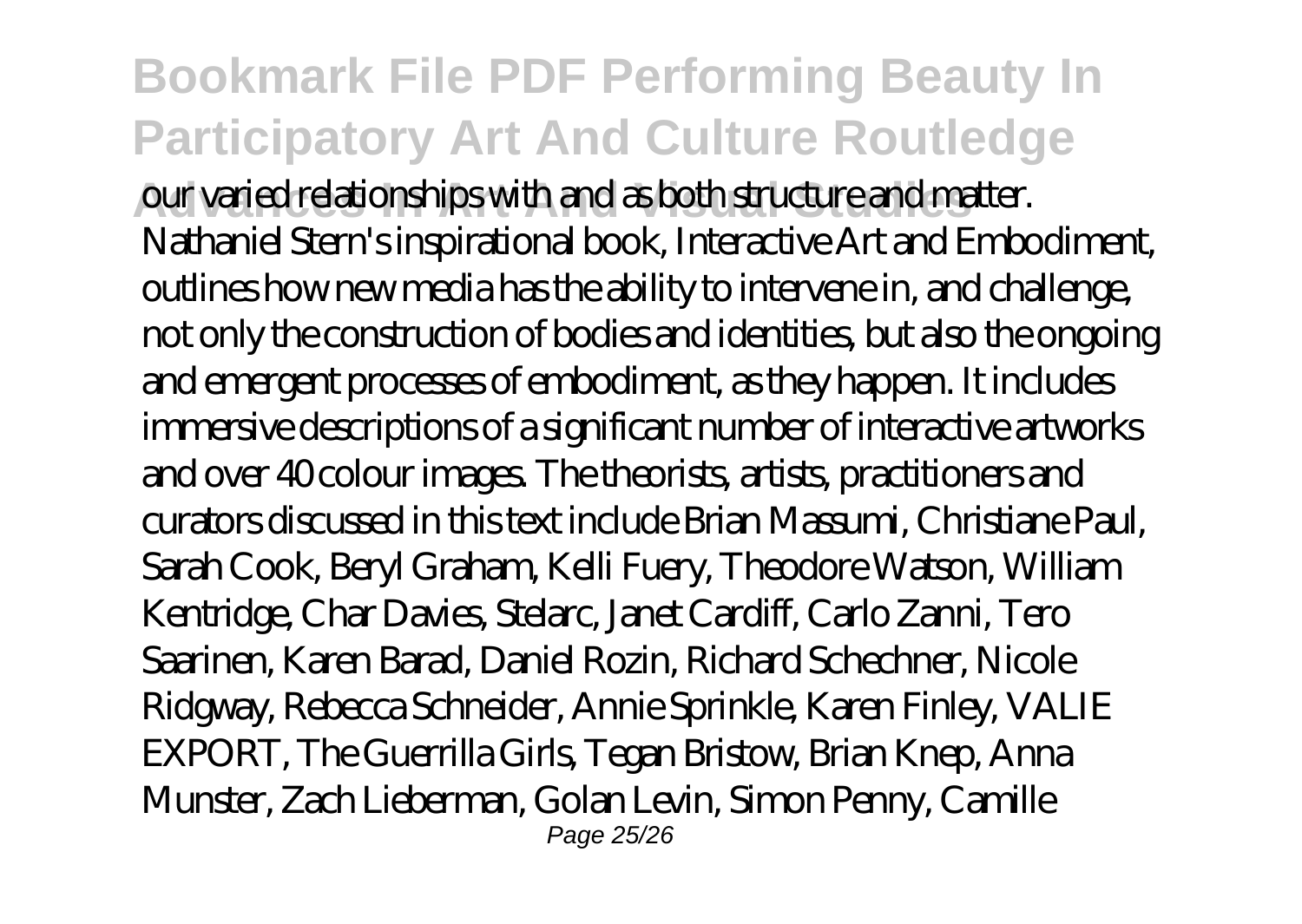**Bookmark File PDF Performing Beauty In Participatory Art And Culture Routledge Advances In Art And Visual Studies** our varied relationships with and as both structure and matter. Nathaniel Stern's inspirational book, Interactive Art and Embodiment, outlines how new media has the ability to intervene in, and challenge, not only the construction of bodies and identities, but also the ongoing and emergent processes of embodiment, as they happen. It includes immersive descriptions of a significant number of interactive artworks and over 40 colour images. The theorists, artists, practitioners and curators discussed in this text include Brian Massumi, Christiane Paul, Sarah Cook, Beryl Graham, Kelli Fuery, Theodore Watson, William Kentridge, Char Davies, Stelarc, Janet Cardiff, Carlo Zanni, Tero Saarinen, Karen Barad, Daniel Rozin, Richard Schechner, Nicole Ridgway, Rebecca Schneider, Annie Sprinkle, Karen Finley, VALIE EXPORT, The Guerrilla Girls, Tegan Bristow, Brian Knep, Anna Munster, Zach Lieberman, Golan Levin, Simon Penny, Camille Page 25/26